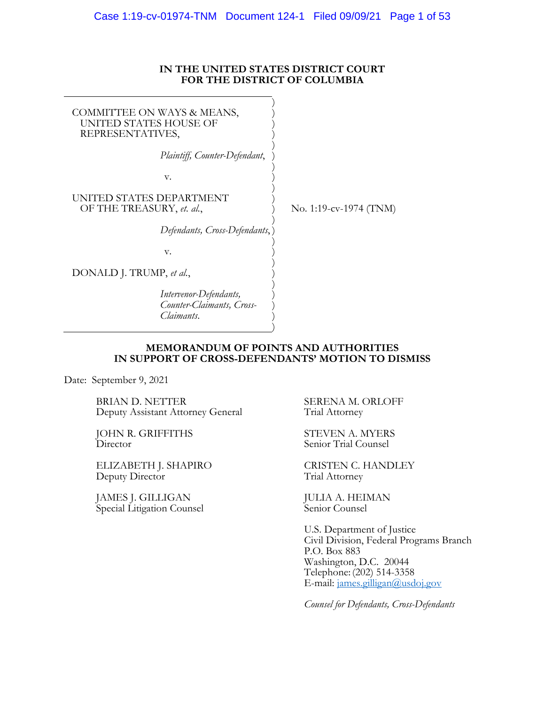### **IN THE UNITED STATES DISTRICT COURT FOR THE DISTRICT OF COLUMBIA**

<span id="page-0-0"></span>

| COMMITTEE ON WAYS & MEANS,<br>UNITED STATES HOUSE OF<br>REPRESENTATIVES, |                        |
|--------------------------------------------------------------------------|------------------------|
| Plaintiff, Counter-Defendant,                                            |                        |
| V.                                                                       |                        |
| UNITED STATES DEPARTMENT<br>OF THE TREASURY, et. al.,                    | No. 1:19-cv-1974 (TNM) |
| Defendants, Cross-Defendants,                                            |                        |
| V.                                                                       |                        |
| DONALD J. TRUMP, et al.,                                                 |                        |
| Intervenor-Defendants,<br>Counter-Claimants, Cross-<br>Claimants.        |                        |

### **MEMORANDUM OF POINTS AND AUTHORITIES IN SUPPORT OF CROSS-DEFENDANTS' MOTION TO DISMISS**

Date: September 9, 2021

BRIAN D. NETTER Deputy Assistant Attorney General

JOHN R. GRIFFITHS **Director** 

ELIZABETH J. SHAPIRO Deputy Director

JAMES J. GILLIGAN Special Litigation Counsel SERENA M. ORLOFF Trial Attorney

STEVEN A. MYERS Senior Trial Counsel

CRISTEN C. HANDLEY Trial Attorney

JULIA A. HEIMAN Senior Counsel

U.S. Department of Justice Civil Division, Federal Programs Branch P.O. Box 883 Washington, D.C. 20044 Telephone: (202) 514-3358 E-mail: [james.gilligan@usdoj.gov](mailto:james.gilligan@usdoj.gov)

*Counsel for Defendants, Cross-Defendants*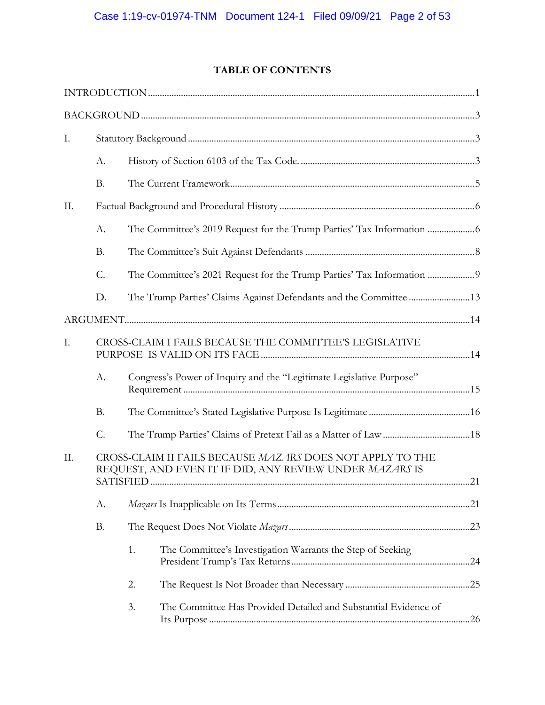# **TABLE OF CONTENTS**

| Ι.  |                 |                                                                                                                      |  |
|-----|-----------------|----------------------------------------------------------------------------------------------------------------------|--|
|     | A.              |                                                                                                                      |  |
|     | <b>B.</b>       |                                                                                                                      |  |
| II. |                 |                                                                                                                      |  |
|     | A.              |                                                                                                                      |  |
|     | <b>B.</b>       |                                                                                                                      |  |
|     | C.              |                                                                                                                      |  |
|     | D.              |                                                                                                                      |  |
|     |                 |                                                                                                                      |  |
| I.  |                 | CROSS-CLAIM I FAILS BECAUSE THE COMMITTEE'S LEGISLATIVE                                                              |  |
|     | A.              | Congress's Power of Inquiry and the "Legitimate Legislative Purpose"                                                 |  |
|     | <b>B.</b>       |                                                                                                                      |  |
|     | $\mathcal{C}$ . |                                                                                                                      |  |
| II. |                 | CROSS-CLAIM II FAILS BECAUSE MAZARS DOES NOT APPLY TO THE<br>REQUEST, AND EVEN IT IF DID, ANY REVIEW UNDER MAZARS IS |  |
|     | А.              |                                                                                                                      |  |
|     | <b>B.</b>       |                                                                                                                      |  |
|     |                 | 1.<br>The Committee's Investigation Warrants the Step of Seeking                                                     |  |
|     |                 | 2.                                                                                                                   |  |
|     |                 | 3.<br>The Committee Has Provided Detailed and Substantial Evidence of                                                |  |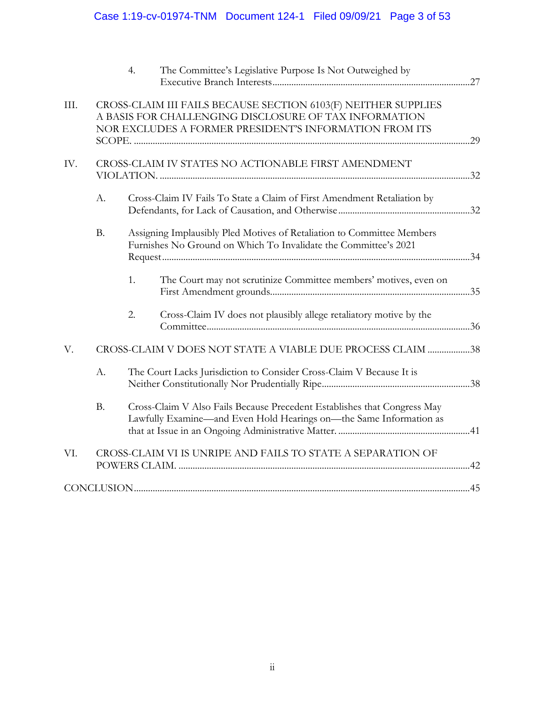# Case 1:19-cv-01974-TNM Document 124-1 Filed 09/09/21 Page 3 of 53

|      |           | 4. | The Committee's Legislative Purpose Is Not Outweighed by                                                                                                                          |  |
|------|-----------|----|-----------------------------------------------------------------------------------------------------------------------------------------------------------------------------------|--|
| III. |           |    | CROSS-CLAIM III FAILS BECAUSE SECTION 6103(F) NEITHER SUPPLIES<br>A BASIS FOR CHALLENGING DISCLOSURE OF TAX INFORMATION<br>NOR EXCLUDES A FORMER PRESIDENT'S INFORMATION FROM ITS |  |
| IV.  |           |    | CROSS-CLAIM IV STATES NO ACTIONABLE FIRST AMENDMENT                                                                                                                               |  |
|      | A.        |    | Cross-Claim IV Fails To State a Claim of First Amendment Retaliation by                                                                                                           |  |
|      | <b>B.</b> |    | Assigning Implausibly Pled Motives of Retaliation to Committee Members<br>Furnishes No Ground on Which To Invalidate the Committee's 2021                                         |  |
|      |           | 1. | The Court may not scrutinize Committee members' motives, even on                                                                                                                  |  |
|      |           | 2. | Cross-Claim IV does not plausibly allege retaliatory motive by the                                                                                                                |  |
| V.   |           |    | CROSS-CLAIM V DOES NOT STATE A VIABLE DUE PROCESS CLAIM 38                                                                                                                        |  |
|      | A.        |    | The Court Lacks Jurisdiction to Consider Cross-Claim V Because It is                                                                                                              |  |
|      | <b>B.</b> |    | Cross-Claim V Also Fails Because Precedent Establishes that Congress May<br>Lawfully Examine—and Even Hold Hearings on—the Same Information as                                    |  |
| VI.  |           |    | CROSS-CLAIM VI IS UNRIPE AND FAILS TO STATE A SEPARATION OF                                                                                                                       |  |
|      |           |    |                                                                                                                                                                                   |  |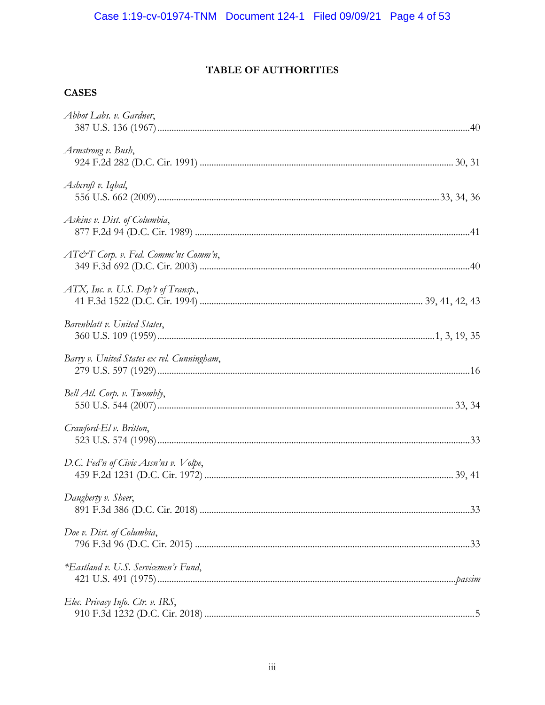# TABLE OF AUTHORITIES

# <span id="page-3-0"></span>**CASES**

| Abbot Labs. v. Gardner,                       |     |
|-----------------------------------------------|-----|
| Armstrong v. Bush,                            |     |
| Ashcroft v. Iqbal,                            |     |
| Askins v. Dist. of Columbia,                  |     |
| $AT\acute{c}T$ Corp. v. Fed. Commc'ns Comm'n, |     |
| $ATX$ , Inc. v. U.S. Dep't of Transp.,        |     |
| Barenblatt v. United States,                  |     |
| Barry v. United States ex rel. Cunningham,    |     |
| Bell Atl. Corp. v. Twombly,                   |     |
| Crawford-El v. Britton,                       |     |
| D.C. Fed'n of Civic Assn'ns v. Volpe,         |     |
| Daugherty v. Sheer,                           | .33 |
| Doe v. Dist. of Columbia,                     |     |
| *Eastland v. U.S. Servicemen's Fund,          |     |
| Elec. Privacy Info. Ctr. v. IRS,              |     |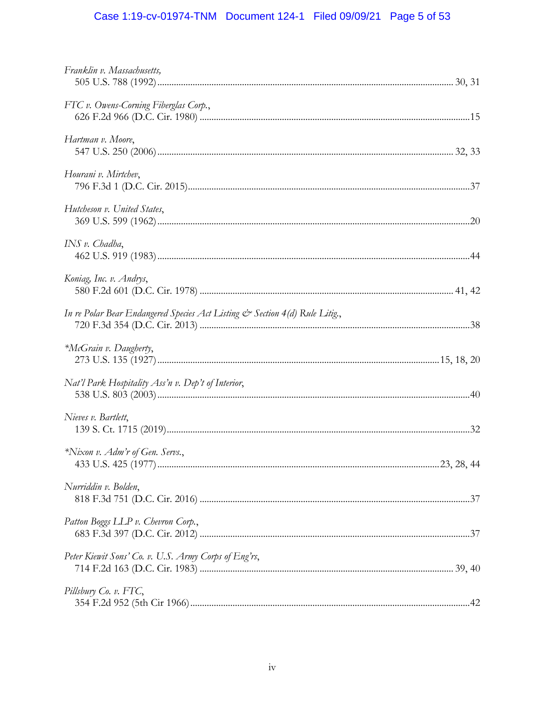# Case 1:19-cv-01974-TNM Document 124-1 Filed 09/09/21 Page 5 of 53

| Franklin v. Massachusetts,                                                  |  |
|-----------------------------------------------------------------------------|--|
| FTC v. Owens-Corning Fiberglas Corp.,                                       |  |
| Hartman v. Moore,                                                           |  |
| Hourani v. Mirtchev,                                                        |  |
| Hutcheson v. United States,                                                 |  |
| INS v. Chadha,                                                              |  |
| Koniag, Inc. v. Andrys,                                                     |  |
| In re Polar Bear Endangered Species Act Listing & Section 4(d) Rule Litig., |  |
| *McGrain v. Daugherty,                                                      |  |
| Nat'l Park Hospitality Ass'n v. Dep't of Interior,                          |  |
| Nieves v. Bartlett,                                                         |  |
| *Nixon v. Adm'r of Gen. Servs.,                                             |  |
| Nurriddin v. Bolden,                                                        |  |
| Patton Boggs LLP v. Chevron Corp.,                                          |  |
| Peter Kiewit Sons' Co. v. U.S. Army Corps of Eng'rs,                        |  |
| Pillsbury Co. v. FTC,                                                       |  |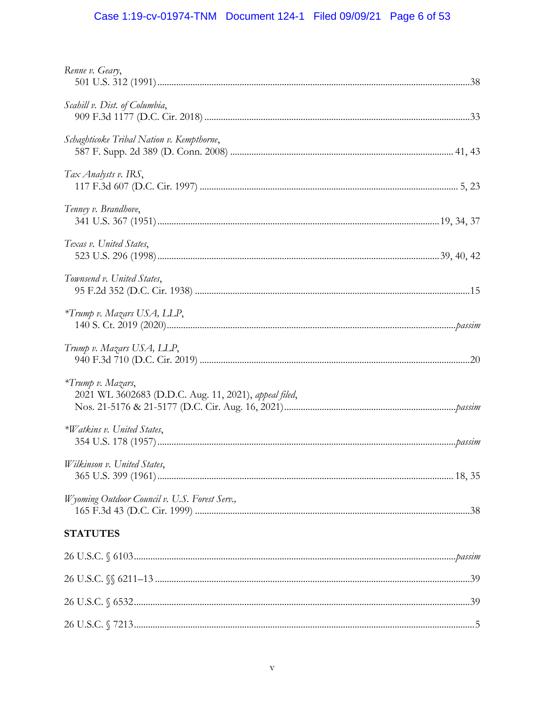# Case 1:19-cv-01974-TNM Document 124-1 Filed 09/09/21 Page 6 of 53

| Renne v. Geary,                                                            |  |
|----------------------------------------------------------------------------|--|
| Scahill v. Dist. of Columbia,                                              |  |
| Schaghticoke Tribal Nation v. Kempthorne,                                  |  |
| Tax Analysts v. IRS,                                                       |  |
| Tenney v. Brandhove,                                                       |  |
| Texas v. United States,                                                    |  |
| Townsend v. United States,                                                 |  |
| *Trump v. Mazars USA, LLP,                                                 |  |
| Trump v. Mazars USA, LLP,                                                  |  |
| *Trump v. Mazars,<br>2021 WL 3602683 (D.D.C. Aug. 11, 2021), appeal filed, |  |
| *Watkins v. United States,                                                 |  |
| Wilkinson v. United States,                                                |  |
| Wyoming Outdoor Council v. U.S. Forest Serv.,                              |  |
| <b>STATUTES</b>                                                            |  |
|                                                                            |  |
|                                                                            |  |
|                                                                            |  |
|                                                                            |  |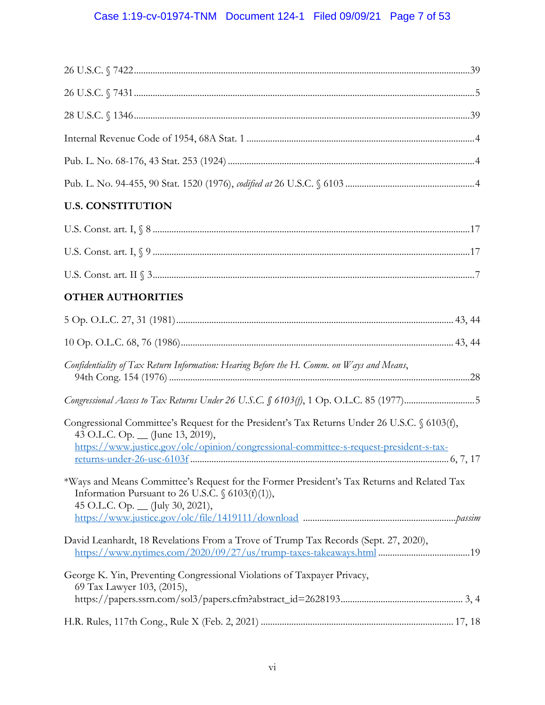# Case 1:19-cv-01974-TNM Document 124-1 Filed 09/09/21 Page 7 of 53

| <b>U.S. CONSTITUTION</b>                                                                                                                                                                                                    |
|-----------------------------------------------------------------------------------------------------------------------------------------------------------------------------------------------------------------------------|
|                                                                                                                                                                                                                             |
|                                                                                                                                                                                                                             |
|                                                                                                                                                                                                                             |
| <b>OTHER AUTHORITIES</b>                                                                                                                                                                                                    |
|                                                                                                                                                                                                                             |
|                                                                                                                                                                                                                             |
| Confidentiality of Tax Return Information: Hearing Before the H. Comm. on Ways and Means,                                                                                                                                   |
| Congressional Access to Tax Returns Under 26 U.S.C. § 6103(f), 1 Op. O.L.C. 85 (1977)5                                                                                                                                      |
| Congressional Committee's Request for the President's Tax Returns Under 26 U.S.C. § 6103(f),<br>43 O.L.C. Op. __ (June 13, 2019),<br>https://www.justice.gov/olc/opinion/congressional-committee-s-request-president-s-tax- |
| *Ways and Means Committee's Request for the Former President's Tax Returns and Related Tax<br>Information Pursuant to 26 U.S.C. $\frac{6103(f)(1)}{2}$ ,<br>45 O.L.C. Op. _ (July 30, 2021),                                |
| David Leanhardt, 18 Revelations From a Trove of Trump Tax Records (Sept. 27, 2020),<br>https://www.nytimes.com/2020/09/27/us/trump-taxes-takeaways.html 19                                                                  |
| George K. Yin, Preventing Congressional Violations of Taxpayer Privacy,<br>69 Tax Lawyer 103, (2015),                                                                                                                       |
|                                                                                                                                                                                                                             |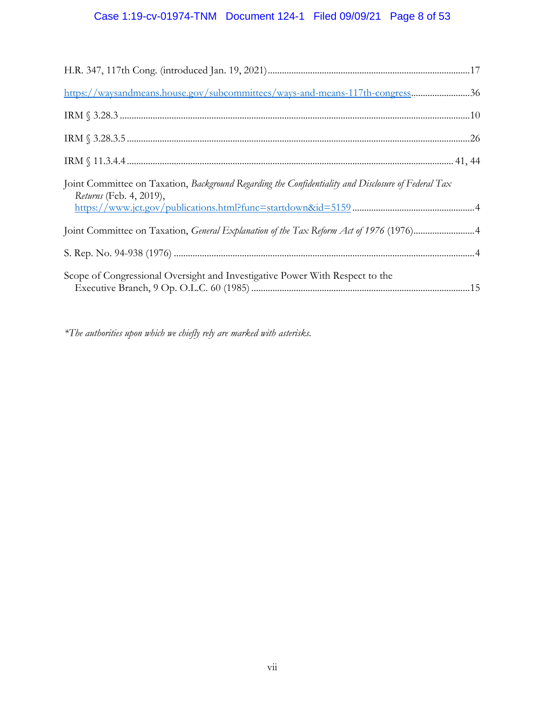# Case 1:19-cv-01974-TNM Document 124-1 Filed 09/09/21 Page 8 of 53

| https://waysandmeans.house.gov/subcommittees/ways-and-means-117th-congress36                                                   |
|--------------------------------------------------------------------------------------------------------------------------------|
|                                                                                                                                |
|                                                                                                                                |
|                                                                                                                                |
| Joint Committee on Taxation, Background Regarding the Confidentiality and Disclosure of Federal Tax<br>Returns (Feb. 4, 2019), |
| Joint Committee on Taxation, General Explanation of the Tax Reform Act of 1976 (1976)4                                         |
|                                                                                                                                |
| Scope of Congressional Oversight and Investigative Power With Respect to the                                                   |

*\*The authorities upon which we chiefly rely are marked with asterisks.*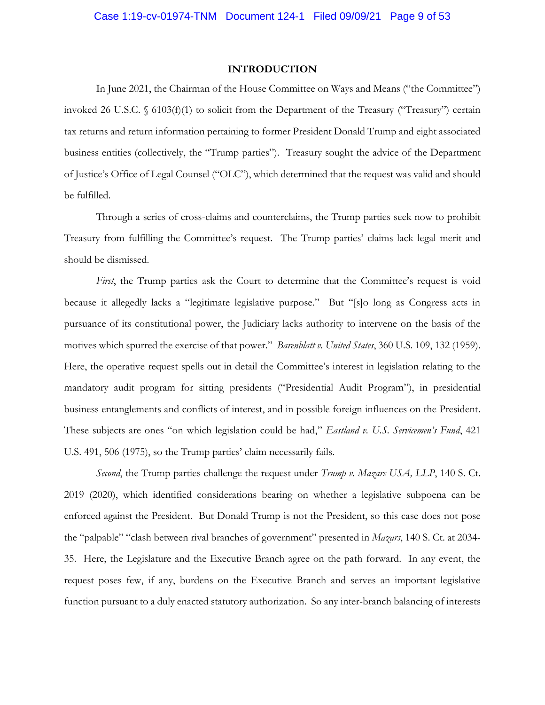#### **INTRODUCTION**

 invoked 26 U.S.C. § 6103(f)(1) to solicit from the Department of the Treasury ("Treasury") certain tax returns and return information pertaining to former President Donald Trump and eight associated business entities (collectively, the "Trump parties"). Treasury sought the advice of the Department of Justice's Office of Legal Counsel ("OLC"), which determined that the request was valid and should In June 2021, the Chairman of the House Committee on Ways and Means ("the Committee") be fulfilled.

 Through a series of cross-claims and counterclaims, the Trump parties seek now to prohibit Treasury from fulfilling the Committee's request. The Trump parties' claims lack legal merit and should be dismissed.

 *First*, the Trump parties ask the Court to determine that the Committee's request is void because it allegedly lacks a "legitimate legislative purpose." But "[s]o long as Congress acts in pursuance of its constitutional power, the Judiciary lacks authority to intervene on the basis of the motives which spurred the exercise of that power." *Barenblatt v. United States*, 360 U.S. 109, 132 (1959). Here, the operative request spells out in detail the Committee's interest in legislation relating to the mandatory audit program for sitting presidents ("Presidential Audit Program"), in presidential business entanglements and conflicts of interest, and in possible foreign influences on the President. These subjects are ones "on which legislation could be had," *Eastland v. U.S. Servicemen's Fund*, 421 U.S. 491, 506 (1975), so the Trump parties' claim necessarily fails.

 *Second*, the Trump parties challenge the request under *Trump v. Mazars USA, LLP*, 140 S. Ct. 2019 (2020), which identified considerations bearing on whether a legislative subpoena can be request poses few, if any, burdens on the Executive Branch and serves an important legislative enforced against the President. But Donald Trump is not the President, so this case does not pose the "palpable" "clash between rival branches of government" presented in *Mazars*, 140 S. Ct. at 2034- 35. Here, the Legislature and the Executive Branch agree on the path forward. In any event, the function pursuant to a duly enacted statutory authorization. So any inter-branch balancing of interests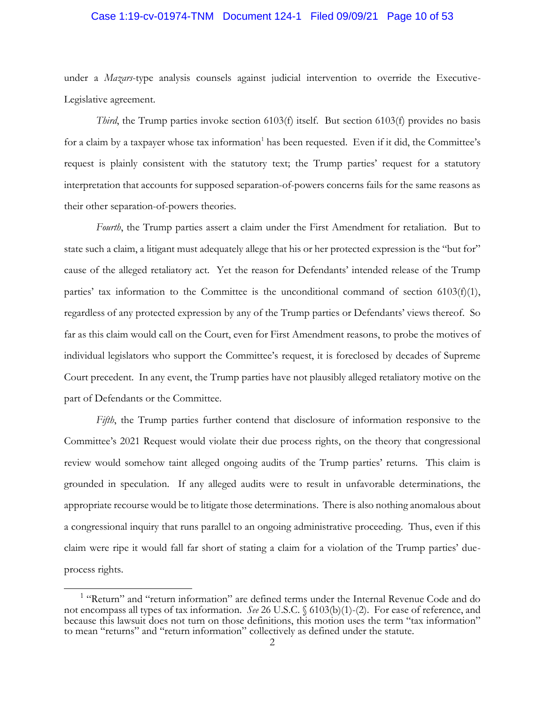#### Case 1:19-cv-01974-TNM Document 124-1 Filed 09/09/21 Page 10 of 53

under a *Mazars*-type analysis counsels against judicial intervention to override the Executive-Legislative agreement.

 *Third*, the Trump parties invoke section 6103(f) itself. But section 6103(f) provides no basis request is plainly consistent with the statutory text; the Trump parties' request for a statutory interpretation that accounts for supposed separation-of-powers concerns fails for the same reasons as for a claim by a taxpayer whose tax information<sup>1</sup> has been requested. Even if it did, the Committee's their other separation-of-powers theories.

 *Fourth*, the Trump parties assert a claim under the First Amendment for retaliation. But to state such a claim, a litigant must adequately allege that his or her protected expression is the "but for" cause of the alleged retaliatory act. Yet the reason for Defendants' intended release of the Trump parties' tax information to the Committee is the unconditional command of section 6103(f)(1), regardless of any protected expression by any of the Trump parties or Defendants' views thereof. So far as this claim would call on the Court, even for First Amendment reasons, to probe the motives of individual legislators who support the Committee's request, it is foreclosed by decades of Supreme Court precedent. In any event, the Trump parties have not plausibly alleged retaliatory motive on the part of Defendants or the Committee.

 Committee's 2021 Request would violate their due process rights, on the theory that congressional review would somehow taint alleged ongoing audits of the Trump parties' returns. This claim is grounded in speculation. If any alleged audits were to result in unfavorable determinations, the appropriate recourse would be to litigate those determinations. There is also nothing anomalous about a congressional inquiry that runs parallel to an ongoing administrative proceeding. Thus, even if this claim were ripe it would fall far short of stating a claim for a violation of the Trump parties' due-*Fifth*, the Trump parties further contend that disclosure of information responsive to the process rights.

<sup>&</sup>lt;sup>1</sup> "Return" and "return information" are defined terms under the Internal Revenue Code and do not encompass all types of tax information. *See* 26 U.S.C. § 6103(b)(1)-(2). For ease of reference, and because this lawsuit does not turn on those definitions, this motion uses the term "tax information" to mean "returns" and "return information" collectively as defined under the statute.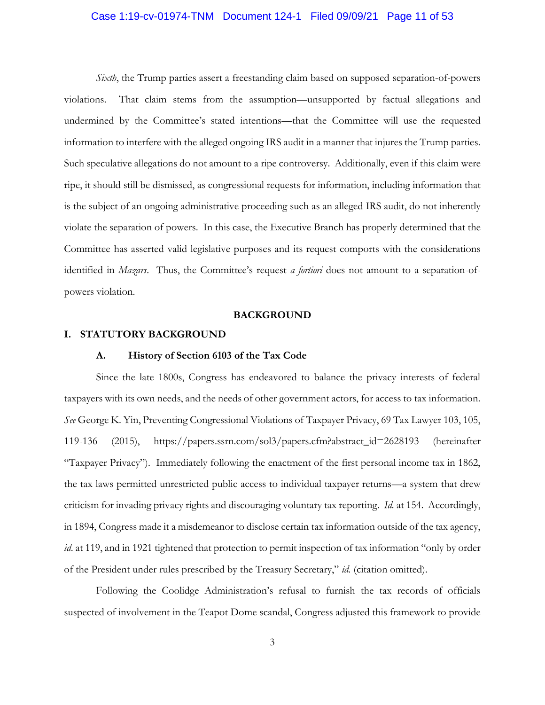#### <span id="page-10-0"></span>Case 1:19-cv-01974-TNM Document 124-1 Filed 09/09/21 Page 11 of 53

 *Sixth*, the Trump parties assert a freestanding claim based on supposed separation-of-powers violations. That claim stems from the assumption—unsupported by factual allegations and information to interfere with the alleged ongoing IRS audit in a manner that injures the Trump parties. Such speculative allegations do not amount to a ripe controversy. Additionally, even if this claim were ripe, it should still be dismissed, as congressional requests for information, including information that violate the separation of powers. In this case, the Executive Branch has properly determined that the undermined by the Committee's stated intentions—that the Committee will use the requested is the subject of an ongoing administrative proceeding such as an alleged IRS audit, do not inherently Committee has asserted valid legislative purposes and its request comports with the considerations identified in *Mazars*. Thus, the Committee's request *a fortiori* does not amount to a separation-ofpowers violation.

#### **BACKGROUND**

#### **I. STATUTORY BACKGROUND**

#### **A. History of Section 6103 of the Tax Code**

 Since the late 1800s, Congress has endeavored to balance the privacy interests of federal taxpayers with its own needs, and the needs of other government actors, for access to tax information. *See* George K. Yin, Preventing Congressional Violations of Taxpayer Privacy, 69 Tax Lawyer 103, 105, "Taxpayer Privacy"). Immediately following the enactment of the first personal income tax in 1862, the tax laws permitted unrestricted public access to individual taxpayer returns—a system that drew criticism for invading privacy rights and discouraging voluntary tax reporting. *Id.* at 154. Accordingly, in 1894, Congress made it a misdemeanor to disclose certain tax information outside of the tax agency, 119-136 (2015), [https://papers.ssrn.com/sol3/papers.cfm?abstract\\_id=2628193](https://papers.ssrn.com/sol3/papers.cfm?abstract_id=2628193) (hereinafter *id*. at 119, and in 1921 tightened that protection to permit inspection of tax information "only by order of the President under rules prescribed by the Treasury Secretary," *id.* (citation omitted).

 Following the Coolidge Administration's refusal to furnish the tax records of officials suspected of involvement in the Teapot Dome scandal, Congress adjusted this framework to provide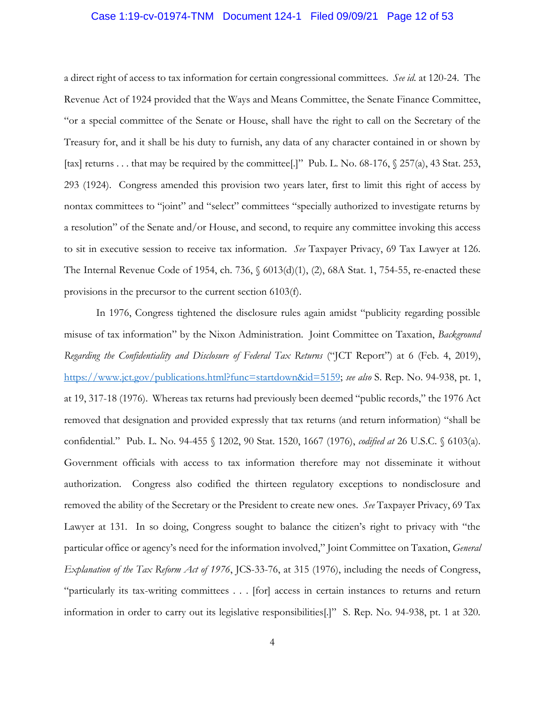#### Case 1:19-cv-01974-TNM Document 124-1 Filed 09/09/21 Page 12 of 53

 a direct right of access to tax information for certain congressional committees. *See id.* at 120-24. The "or a special committee of the Senate or House, shall have the right to call on the Secretary of the [tax] returns . . . that may be required by the committee[.]" Pub. L. No. 68-176, § 257(a), 43 Stat. 253, 293 (1924). Congress amended this provision two years later, first to limit this right of access by nontax committees to "joint" and "select" committees "specially authorized to investigate returns by to sit in executive session to receive tax information. *See* Taxpayer Privacy, 69 Tax Lawyer at 126. The Internal Revenue Code of 1954, ch. 736, § 6013(d)(1), (2), 68A Stat. 1, 754-55, re-enacted these Revenue Act of 1924 provided that the Ways and Means Committee, the Senate Finance Committee, Treasury for, and it shall be his duty to furnish, any data of any character contained in or shown by a resolution" of the Senate and/or House, and second, to require any committee invoking this access provisions in the precursor to the current section 6103(f).

 misuse of tax information" by the Nixon Administration. Joint Committee on Taxation, *Background*  Regarding the Confidentiality and Disclosure of Federal Tax Returns ("JCT Report") at 6 (Feb. 4, 2019), at 19, 317-18 (1976). Whereas tax returns had previously been deemed "public records," the 1976 Act removed that designation and provided expressly that tax returns (and return information) "shall be confidential." Pub. L. No. 94-455 § 1202, 90 Stat. 1520, 1667 (1976), *codified at* 26 U.S.C. § 6103(a). Government officials with access to tax information therefore may not disseminate it without removed the ability of the Secretary or the President to create new ones. *See* Taxpayer Privacy, 69 Tax Lawyer at 131. In so doing, Congress sought to balance the citizen's right to privacy with "the particular office or agency's need for the information involved," Joint Committee on Taxation, *General Explanation of the Tax Reform Act of 1976*, JCS-33-76, at 315 (1976), including the needs of Congress, "particularly its tax-writing committees . . . [for] access in certain instances to returns and return information in order to carry out its legislative responsibilities[.]" S. Rep. No. 94-938, pt. 1 at 320. In 1976, Congress tightened the disclosure rules again amidst "publicity regarding possible <https://www.jct.gov/publications.html?func=startdown&id=5159>; *see also* S. Rep. No. 94-938, pt. 1, authorization. Congress also codified the thirteen regulatory exceptions to nondisclosure and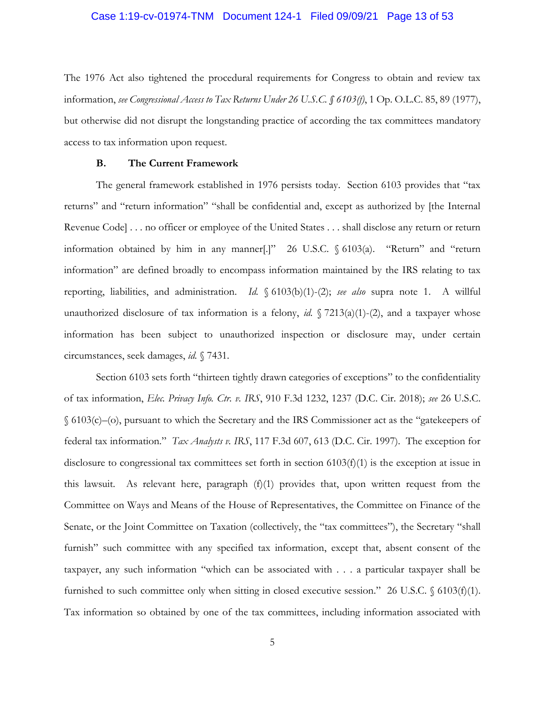#### <span id="page-12-0"></span>Case 1:19-cv-01974-TNM Document 124-1 Filed 09/09/21 Page 13 of 53

 The 1976 Act also tightened the procedural requirements for Congress to obtain and review tax  information, *see Congressional Access to Tax Returns Under 26 U.S.C. § 6103(f)*, 1 Op. O.L.C. 85, 89 (1977), but otherwise did not disrupt the longstanding practice of according the tax committees mandatory access to tax information upon request.

#### **B. The Current Framework**

 The general framework established in 1976 persists today. Section 6103 provides that "tax information obtained by him in any manner[.]" 26 U.S.C. § 6103(a). "Return" and "return reporting, liabilities, and administration. *Id.* § 6103(b)(1)-(2); *see also* supra note 1. A willful unauthorized disclosure of tax information is a felony, *id.* § 7213(a)(1)-(2), and a taxpayer whose returns" and "return information" "shall be confidential and, except as authorized by [the Internal Revenue Code] . . . no officer or employee of the United States . . . shall disclose any return or return information" are defined broadly to encompass information maintained by the IRS relating to tax information has been subject to unauthorized inspection or disclosure may, under certain circumstances, seek damages, *id.* § 7431.

 Section 6103 sets forth "thirteen tightly drawn categories of exceptions" to the confidentiality federal tax information." *Tax Analysts v. IRS*, 117 F.3d 607, 613 (D.C. Cir. 1997). The exception for disclosure to congressional tax committees set forth in section 6103(f)(1) is the exception at issue in this lawsuit. As relevant here, paragraph (f)(1) provides that, upon written request from the Committee on Ways and Means of the House of Representatives, the Committee on Finance of the Senate, or the Joint Committee on Taxation (collectively, the "tax committees"), the Secretary "shall taxpayer, any such information "which can be associated with . . . a particular taxpayer shall be furnished to such committee only when sitting in closed executive session." 26 U.S.C. § 6103(f)(1). of tax information, *Elec. Privacy Info. Ctr. v. IRS*, 910 F.3d 1232, 1237 (D.C. Cir. 2018); *see* 26 U.S.C. § 6103(c)–(o), pursuant to which the Secretary and the IRS Commissioner act as the "gatekeepers of furnish" such committee with any specified tax information, except that, absent consent of the Tax information so obtained by one of the tax committees, including information associated with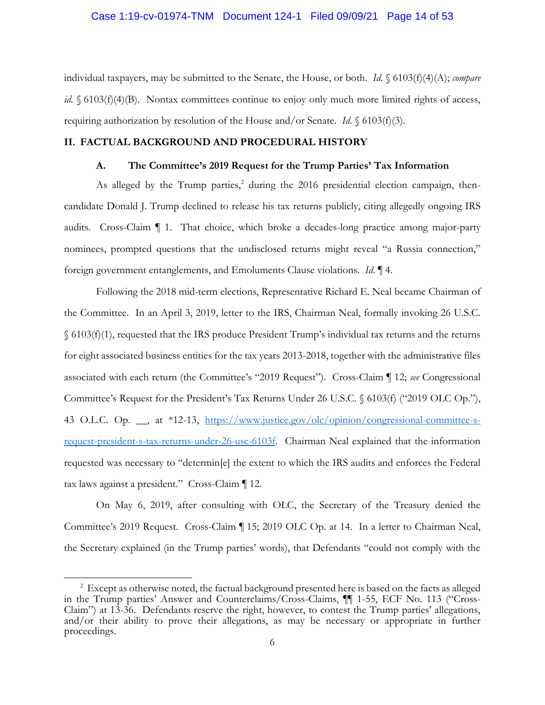#### <span id="page-13-0"></span>Case 1:19-cv-01974-TNM Document 124-1 Filed 09/09/21 Page 14 of 53

*id.* § 6103(f)(4)(B). Nontax committees continue to enjoy only much more limited rights of access, individual taxpayers, may be submitted to the Senate, the House, or both. *Id*. § 6103(f)(4)(A); *compare*  requiring authorization by resolution of the House and/or Senate. *Id*. § 6103(f)(3).

### **II. FACTUAL BACKGROUND AND PROCEDURAL HISTORY**

# **A. The Committee's 2019 Request for the Trump Parties' Tax Information**

 candidate Donald J. Trump declined to release his tax returns publicly, citing allegedly ongoing IRS audits. Cross-Claim ¶ 1. That choice, which broke a decades-long practice among major-party nominees, prompted questions that the undisclosed returns might reveal "a Russia connection," As alleged by the Trump parties,<sup>2</sup> during the 2016 presidential election campaign, thenforeign government entanglements, and Emoluments Clause violations. *Id*. ¶ 4.

 the Committee. In an April 3, 2019, letter to the IRS, Chairman Neal, formally invoking 26 U.S.C. for eight associated business entities for the tax years 2013-2018, together with the administrative files associated with each return (the Committee's "2019 Request"). Cross-Claim ¶ 12; *see* Congressional Committee's Request for the President's Tax Returns Under 26 U.S.C. § 6103(f) ("2019 OLC Op."), request-president-s-tax-returns-under-26-usc-6103f. Chairman Neal explained that the information requested was necessary to "determin[e] the extent to which the IRS audits and enforces the Federal Following the 2018 mid-term elections, Representative Richard E. Neal became Chairman of § 6103(f)(1), requested that the IRS produce President Trump's individual tax returns and the returns 43 O.L.C. Op. \_\_, at \*12-13, <https://www.justice.gov/olc/opinion/congressional-committee-s>tax laws against a president." Cross-Claim ¶ 12*.* 

 On May 6, 2019, after consulting with OLC, the Secretary of the Treasury denied the Committee's 2019 Request. Cross-Claim ¶ 15; 2019 OLC Op. at 14. In a letter to Chairman Neal, the Secretary explained (in the Trump parties' words), that Defendants "could not comply with the

 $2^{2}$  Except as otherwise noted, the factual background presented here is based on the facts as alleged Claim") at 13-36. Defendants reserve the right, however, to contest the Trump parties' allegations, in the Trump parties' Answer and Counterclaims/Cross-Claims, ¶¶ 1-55, ECF No. 113 ("Crossand/or their ability to prove their allegations, as may be necessary or appropriate in further proceedings.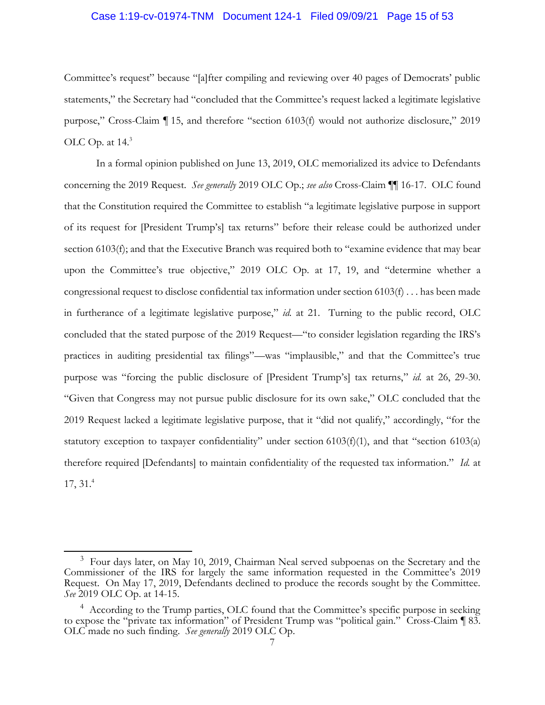### Case 1:19-cv-01974-TNM Document 124-1 Filed 09/09/21 Page 15 of 53

 Committee's request" because "[a]fter compiling and reviewing over 40 pages of Democrats' public purpose," Cross-Claim ¶ 15, and therefore "section 6103(f) would not authorize disclosure," 2019 statements," the Secretary had "concluded that the Committee's request lacked a legitimate legislative OLC Op. at 14.3

 that the Constitution required the Committee to establish "a legitimate legislative purpose in support of its request for [President Trump's] tax returns" before their release could be authorized under upon the Committee's true objective," 2019 OLC Op. at 17, 19, and "determine whether a in furtherance of a legitimate legislative purpose," *id.* at 21. Turning to the public record, OLC concluded that the stated purpose of the 2019 Request—"to consider legislation regarding the IRS's practices in auditing presidential tax filings"—was "implausible," and that the Committee's true "Given that Congress may not pursue public disclosure for its own sake," OLC concluded that the therefore required [Defendants] to maintain confidentiality of the requested tax information." *Id.* at In a formal opinion published on June 13, 2019, OLC memorialized its advice to Defendants concerning the 2019 Request. *See generally* 2019 OLC Op.; *see also* Cross-Claim ¶¶ 16-17. OLC found section 6103(f); and that the Executive Branch was required both to "examine evidence that may bear congressional request to disclose confidential tax information under section  $6103(f)$ ... has been made purpose was "forcing the public disclosure of [President Trump's] tax returns," *id.* at 26, 29-30. 2019 Request lacked a legitimate legislative purpose, that it "did not qualify," accordingly, "for the statutory exception to taxpayer confidentiality" under section 6103(f)(1), and that "section 6103(a) 17, 31. 4

 $3$  Four days later, on May 10, 2019, Chairman Neal served subpoenas on the Secretary and the Commissioner of the IRS for largely the same information requested in the Committee's 2019 Request. On May 17, 2019, Defendants declined to produce the records sought by the Committee. *See* 2019 OLC Op. at 14-15.

<sup>&</sup>lt;sup>4</sup> According to the Trump parties, OLC found that the Committee's specific purpose in seeking to expose the "private tax information" of President Trump was "political gain." Cross-Claim ¶ 83. OLC made no such finding. *See generally* 2019 OLC Op.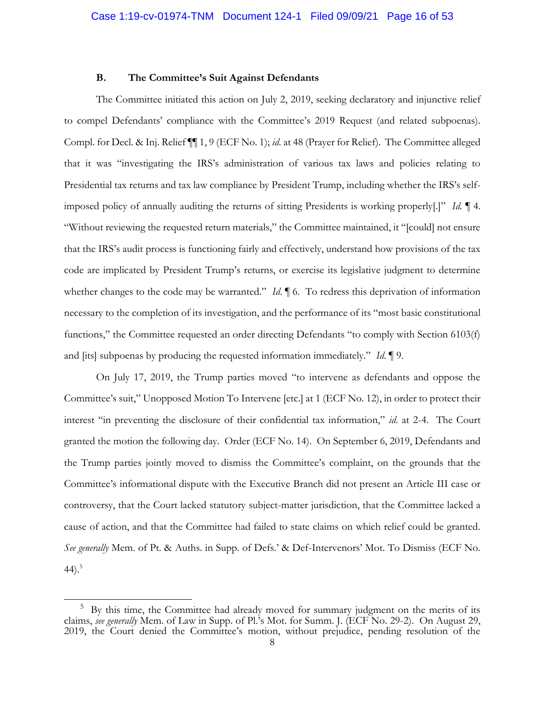### **B. The Committee's Suit Against Defendants**

<span id="page-15-0"></span> The Committee initiated this action on July 2, 2019, seeking declaratory and injunctive relief to compel Defendants' compliance with the Committee's 2019 Request (and related subpoenas). Compl. for Decl. & Inj. Relief ¶¶ 1, 9 (ECF No. 1); *id*. at 48 (Prayer for Relief). The Committee alleged that it was "investigating the IRS's administration of various tax laws and policies relating to Presidential tax returns and tax law compliance by President Trump, including whether the IRS's self- imposed policy of annually auditing the returns of sitting Presidents is working properly[.]" *Id.* ¶ 4. "Without reviewing the requested return materials," the Committee maintained, it "[could] not ensure that the IRS's audit process is functioning fairly and effectively, understand how provisions of the tax code are implicated by President Trump's returns, or exercise its legislative judgment to determine whether changes to the code may be warranted." *Id*. **[6.** To redress this deprivation of information necessary to the completion of its investigation, and the performance of its "most basic constitutional functions," the Committee requested an order directing Defendants "to comply with Section 6103(f) and [its] subpoenas by producing the requested information immediately." *Id*. ¶ 9.

 On July 17, 2019, the Trump parties moved "to intervene as defendants and oppose the Committee's suit," Unopposed Motion To Intervene [etc.] at 1 (ECF No. 12), in order to protect their interest "in preventing the disclosure of their confidential tax information," *id*. at 2-4. The Court granted the motion the following day. Order (ECF No. 14). On September 6, 2019, Defendants and the Trump parties jointly moved to dismiss the Committee's complaint, on the grounds that the Committee's informational dispute with the Executive Branch did not present an Article III case or controversy, that the Court lacked statutory subject-matter jurisdiction, that the Committee lacked a cause of action, and that the Committee had failed to state claims on which relief could be granted. *See generally* Mem. of Pt. & Auths. in Supp. of Defs.' & Def-Intervenors' Mot. To Dismiss (ECF No. 44).<sup>5</sup>

 $5$  By this time, the Committee had already moved for summary judgment on the merits of its 2019, the Court denied the Committee's motion, without prejudice, pending resolution of the claims, *see generally* Mem. of Law in Supp. of Pl.'s Mot. for Summ. J. (ECF No. 29-2). On August 29,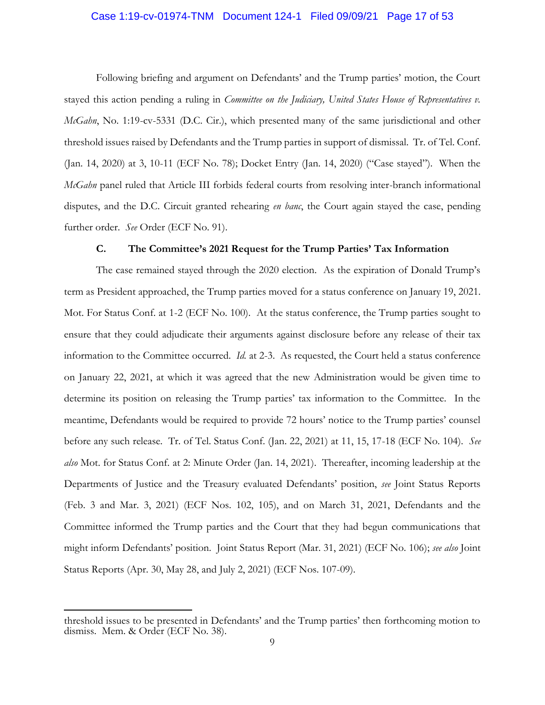### <span id="page-16-0"></span>Case 1:19-cv-01974-TNM Document 124-1 Filed 09/09/21 Page 17 of 53

stayed this action pending a ruling in *Committee on the Judiciary*, United States House of Representatives v. *McGahn*, No. 1:19-cv-5331 (D.C. Cir.), which presented many of the same jurisdictional and other threshold issues raised by Defendants and the Trump parties in support of dismissal. Tr. of Tel. Conf. (Jan. 14, 2020) at 3, 10-11 (ECF No. 78); Docket Entry (Jan. 14, 2020) ("Case stayed"). When the *McGahn* panel ruled that Article III forbids federal courts from resolving inter-branch informational disputes, and the D.C. Circuit granted rehearing *en banc*, the Court again stayed the case, pending Following briefing and argument on Defendants' and the Trump parties' motion, the Court further order. *See* Order (ECF No. 91).

### **C. The Committee's 2021 Request for the Trump Parties' Tax Information**

 The case remained stayed through the 2020 election. As the expiration of Donald Trump's term as President approached, the Trump parties moved for a status conference on January 19, 2021. term as President approached, the Trump parties moved for a status conference on January 19, 2021. Mot. For Status Conf. at 1-2 (ECF No. 100). At the status conference, the Trump parties sought to on January 22, 2021, at which it was agreed that the new Administration would be given time to determine its position on releasing the Trump parties' tax information to the Committee. In the meantime, Defendants would be required to provide 72 hours' notice to the Trump parties' counsel before any such release. Tr. of Tel. Status Conf. (Jan. 22, 2021) at 11, 15, 17-18 (ECF No. 104). *See*  Departments of Justice and the Treasury evaluated Defendants' position, *see* Joint Status Reports (Feb. 3 and Mar. 3, 2021) (ECF Nos. 102, 105), and on March 31, 2021, Defendants and the Committee informed the Trump parties and the Court that they had begun communications that might inform Defendants' position. Joint Status Report (Mar. 31, 2021) (ECF No. 106); *see also* Joint ensure that they could adjudicate their arguments against disclosure before any release of their tax information to the Committee occurred. *Id.* at 2-3. As requested, the Court held a status conference *also* Mot. for Status Conf. at 2: Minute Order (Jan. 14, 2021). Thereafter, incoming leadership at the Status Reports (Apr. 30, May 28, and July 2, 2021) (ECF Nos. 107-09).

 threshold issues to be presented in Defendants' and the Trump parties' then forthcoming motion to dismiss. Mem. & Order (ECF No. 38).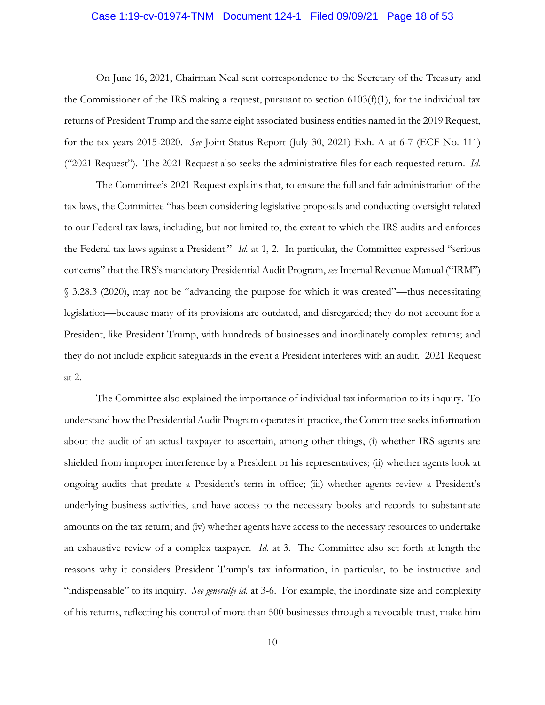#### <span id="page-17-0"></span>Case 1:19-cv-01974-TNM Document 124-1 Filed 09/09/21 Page 18 of 53

 the Commissioner of the IRS making a request, pursuant to section 6103(f)(1), for the individual tax returns of President Trump and the same eight associated business entities named in the 2019 Request, for the tax years 2015-2020. *See* Joint Status Report (July 30, 2021) Exh. A at 6-7 (ECF No. 111) On June 16, 2021, Chairman Neal sent correspondence to the Secretary of the Treasury and ("2021 Request"). The 2021 Request also seeks the administrative files for each requested return. *Id.* 

 the Federal tax laws against a President." *Id.* at 1, 2. In particular, the Committee expressed "serious § 3.28.3 (2020), may not be "advancing the purpose for which it was created"—thus necessitating legislation—because many of its provisions are outdated, and disregarded; they do not account for a President, like President Trump, with hundreds of businesses and inordinately complex returns; and The Committee's 2021 Request explains that, to ensure the full and fair administration of the tax laws, the Committee "has been considering legislative proposals and conducting oversight related to our Federal tax laws, including, but not limited to, the extent to which the IRS audits and enforces concerns" that the IRS's mandatory Presidential Audit Program, *see* Internal Revenue Manual ("IRM") they do not include explicit safeguards in the event a President interferes with an audit. 2021 Request at 2.

 The Committee also explained the importance of individual tax information to its inquiry. To understand how the Presidential Audit Program operates in practice, the Committee seeks information about the audit of an actual taxpayer to ascertain, among other things, (i) whether IRS agents are shielded from improper interference by a President or his representatives; (ii) whether agents look at ongoing audits that predate a President's term in office; (iii) whether agents review a President's underlying business activities, and have access to the necessary books and records to substantiate amounts on the tax return; and (iv) whether agents have access to the necessary resources to undertake an exhaustive review of a complex taxpayer. *Id.* at 3. The Committee also set forth at length the of his returns, reflecting his control of more than 500 businesses through a revocable trust, make him reasons why it considers President Trump's tax information, in particular, to be instructive and "indispensable" to its inquiry. *See generally id.* at 3-6. For example, the inordinate size and complexity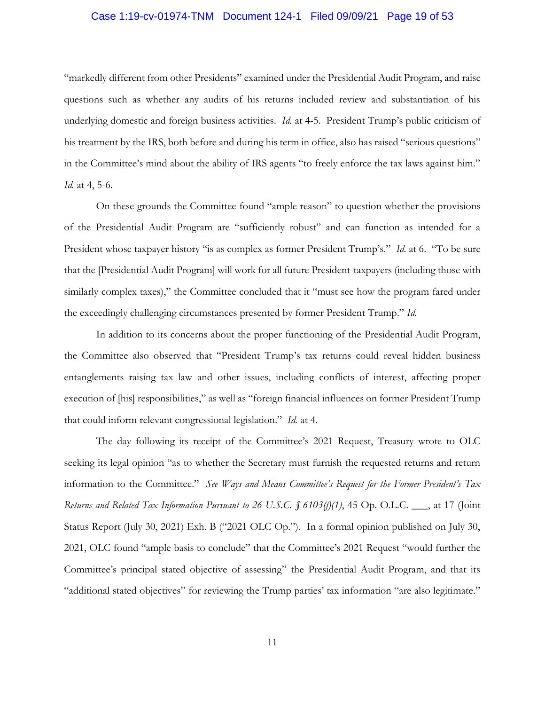#### Case 1:19-cv-01974-TNM Document 124-1 Filed 09/09/21 Page 19 of 53

 questions such as whether any audits of his returns included review and substantiation of his underlying domestic and foreign business activities. *Id.* at 4-5. President Trump's public criticism of his treatment by the IRS, both before and during his term in office, also has raised "serious questions" in the Committee's mind about the ability of IRS agents "to freely enforce the tax laws against him." "markedly different from other Presidents" examined under the Presidential Audit Program, and raise *Id.* at 4, 5-6.

 On these grounds the Committee found "ample reason" to question whether the provisions of the Presidential Audit Program are "sufficiently robust" and can function as intended for a President whose taxpayer history "is as complex as former President Trump's." *Id.* at 6. "To be sure that the [Presidential Audit Program] will work for all future President-taxpayers (including those with similarly complex taxes)," the Committee concluded that it "must see how the program fared under the exceedingly challenging circumstances presented by former President Trump." *Id.* 

 In addition to its concerns about the proper functioning of the Presidential Audit Program, the Committee also observed that "President Trump's tax returns could reveal hidden business entanglements raising tax law and other issues, including conflicts of interest, affecting proper execution of [his] responsibilities," as well as "foreign financial influences on former President Trump that could inform relevant congressional legislation." *Id.* at 4.

 The day following its receipt of the Committee's 2021 Request, Treasury wrote to OLC seeking its legal opinion "as to whether the Secretary must furnish the requested returns and return information to the Committee." *See Ways and Means Committee's Request for the Former President's Tax* Status Report (July 30, 2021) Exh. B ("2021 OLC Op."). In a formal opinion published on July 30, 2021, OLC found "ample basis to conclude" that the Committee's 2021 Request "would further the "additional stated objectives" for reviewing the Trump parties' tax information "are also legitimate." *Returns and Related Tax Information Pursuant to 26 U.S.C. § 6103(f)(1)*, 45 Op. O.L.C. \_\_\_, at 17 (Joint Committee's principal stated objective of assessing" the Presidential Audit Program, and that its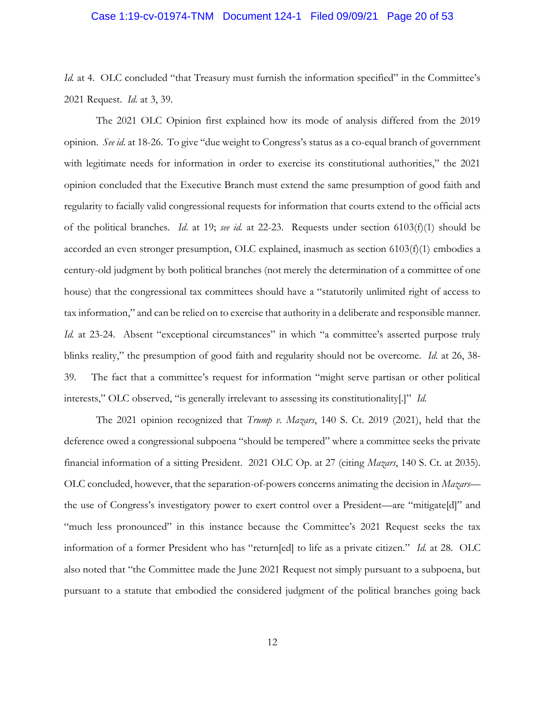#### Case 1:19-cv-01974-TNM Document 124-1 Filed 09/09/21 Page 20 of 53

*Id.* at 4. OLC concluded "that Treasury must furnish the information specified" in the Committee's 2021 Request. *Id.* at 3, 39.

 The 2021 OLC Opinion first explained how its mode of analysis differed from the 2019 opinion. *See id.* at 18-26. To give "due weight to Congress's status as a co-equal branch of government regularity to facially valid congressional requests for information that courts extend to the official acts of the political branches. *Id*. at 19; *see id.* at 22-23. Requests under section 6103(f)(1) should be century-old judgment by both political branches (not merely the determination of a committee of one house) that the congressional tax committees should have a "statutorily unlimited right of access to Id. at 23-24. Absent "exceptional circumstances" in which "a committee's asserted purpose truly blinks reality," the presumption of good faith and regularity should not be overcome. *Id.* at 26, 38- interests," OLC observed, "is generally irrelevant to assessing its constitutionality[.]" *Id.*  with legitimate needs for information in order to exercise its constitutional authorities," the 2021 opinion concluded that the Executive Branch must extend the same presumption of good faith and accorded an even stronger presumption, OLC explained, inasmuch as section 6103(f)(1) embodies a tax information," and can be relied on to exercise that authority in a deliberate and responsible manner. 39. The fact that a committee's request for information "might serve partisan or other political

 deference owed a congressional subpoena "should be tempered" where a committee seeks the private financial information of a sitting President. 2021 OLC Op. at 27 (citing *Mazars*, 140 S. Ct. at 2035). OLC concluded, however, that the separation-of-powers concerns animating the decision in *Mazars*— "much less pronounced" in this instance because the Committee's 2021 Request seeks the tax information of a former President who has "return[ed] to life as a private citizen." *Id.* at 28. OLC pursuant to a statute that embodied the considered judgment of the political branches going back The 2021 opinion recognized that *Trump v. Mazars*, 140 S. Ct. 2019 (2021), held that the the use of Congress's investigatory power to exert control over a President—are "mitigate[d]" and also noted that "the Committee made the June 2021 Request not simply pursuant to a subpoena, but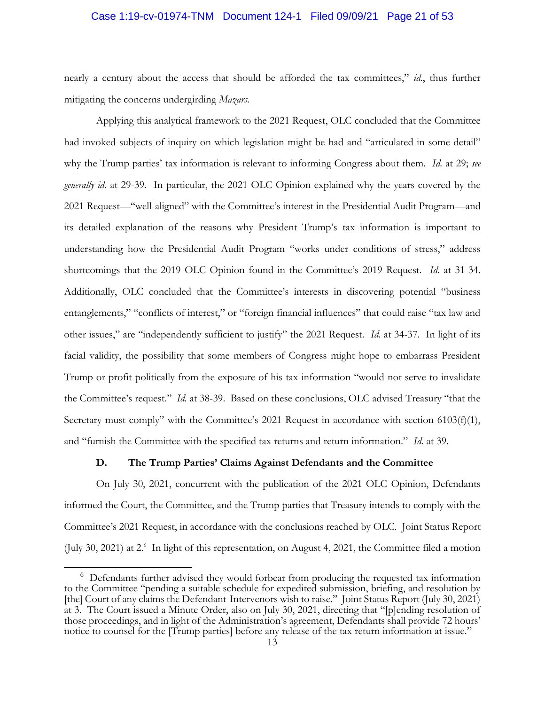#### <span id="page-20-0"></span>Case 1:19-cv-01974-TNM Document 124-1 Filed 09/09/21 Page 21 of 53

 nearly a century about the access that should be afforded the tax committees," *id.*, thus further mitigating the concerns undergirding *Mazars*.

 *generally id.* at 29-39. In particular, the 2021 OLC Opinion explained why the years covered by the 2021 Request—"well-aligned" with the Committee's interest in the Presidential Audit Program—and understanding how the Presidential Audit Program "works under conditions of stress," address shortcomings that the 2019 OLC Opinion found in the Committee's 2019 Request. *Id.* at 31-34. Additionally, OLC concluded that the Committee's interests in discovering potential "business entanglements," "conflicts of interest," or "foreign financial influences" that could raise "tax law and other issues," are "independently sufficient to justify" the 2021 Request. *Id.* at 34-37. In light of its facial validity, the possibility that some members of Congress might hope to embarrass President Trump or profit politically from the exposure of his tax information "would not serve to invalidate the Committee's request." *Id.* at 38-39. Based on these conclusions, OLC advised Treasury "that the and "furnish the Committee with the specified tax returns and return information." *Id.* at 39. Applying this analytical framework to the 2021 Request, OLC concluded that the Committee had invoked subjects of inquiry on which legislation might be had and "articulated in some detail" why the Trump parties' tax information is relevant to informing Congress about them. *Id.* at 29; *see*  its detailed explanation of the reasons why President Trump's tax information is important to Secretary must comply" with the Committee's 2021 Request in accordance with section 6103(f)(1),

### **D. The Trump Parties' Claims Against Defendants and the Committee**

 On July 30, 2021, concurrent with the publication of the 2021 OLC Opinion, Defendants Committee's 2021 Request, in accordance with the conclusions reached by OLC. Joint Status Report (July 30, 2021) at 2.<sup>6</sup> In light of this representation, on August 4, 2021, the Committee filed a motion informed the Court, the Committee, and the Trump parties that Treasury intends to comply with the

 $6$  Defendants further advised they would forbear from producing the requested tax information [the] Court of any claims the Defendant-Intervenors wish to raise." Joint Status Report (July 30, 2021) at 3. The Court issued a Minute Order, also on July 30, 2021, directing that "[p]ending resolution of to the Committee "pending a suitable schedule for expedited submission, briefing, and resolution by those proceedings, and in light of the Administration's agreement, Defendants shall provide 72 hours' notice to counsel for the [Trump parties] before any release of the tax return information at issue."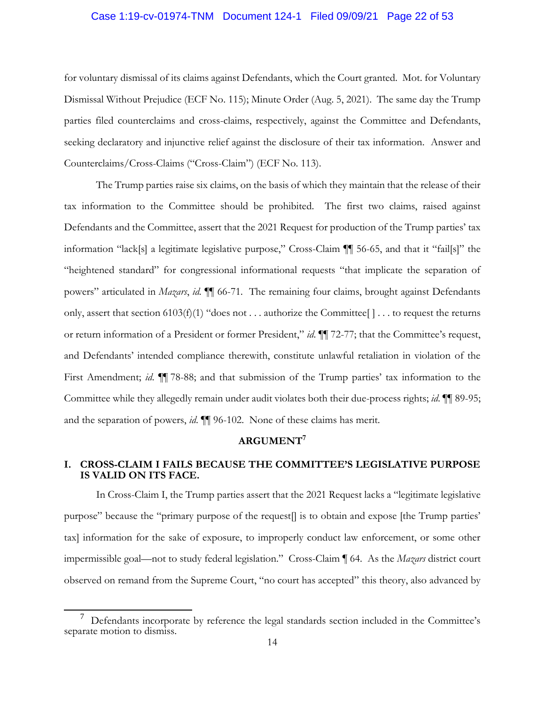#### <span id="page-21-0"></span>Case 1:19-cv-01974-TNM Document 124-1 Filed 09/09/21 Page 22 of 53

 for voluntary dismissal of its claims against Defendants, which the Court granted. Mot. for Voluntary seeking declaratory and injunctive relief against the disclosure of their tax information. Answer and Dismissal Without Prejudice (ECF No. 115); Minute Order (Aug. 5, 2021). The same day the Trump parties filed counterclaims and cross-claims, respectively, against the Committee and Defendants, Counterclaims/Cross-Claims ("Cross-Claim") (ECF No. 113).

 Defendants and the Committee, assert that the 2021 Request for production of the Trump parties' tax  powers" articulated in *Mazars*, *id.* ¶¶ 66-71*.* The remaining four claims, brought against Defendants only, assert that section 6103(f)(1) "does not . . . authorize the Committee[ ] . . . to request the returns or return information of a President or former President," *id*. ¶¶ 72-77; that the Committee's request, Committee while they allegedly remain under audit violates both their due-process rights; *id*. ¶¶ 89-95; The Trump parties raise six claims, on the basis of which they maintain that the release of their tax information to the Committee should be prohibited. The first two claims, raised against information "lack[s] a legitimate legislative purpose," Cross-Claim ¶¶ 56-65, and that it "fail[s]" the "heightened standard" for congressional informational requests "that implicate the separation of and Defendants' intended compliance therewith, constitute unlawful retaliation in violation of the First Amendment; *id*. ¶¶ 78-88; and that submission of the Trump parties' tax information to the and the separation of powers, *id*. ¶¶ 96-102. None of these claims has merit.

# **ARGUMENT7**

# **I. CROSS-CLAIM I FAILS BECAUSE THE COMMITTEE'S LEGISLATIVE PURPOSE IS VALID ON ITS FACE.**

 In Cross-Claim I, the Trump parties assert that the 2021 Request lacks a "legitimate legislative purpose" because the "primary purpose of the request[] is to obtain and expose [the Trump parties' tax] information for the sake of exposure, to improperly conduct law enforcement, or some other impermissible goal—not to study federal legislation." Cross-Claim ¶ 64. As the *Mazars* district court observed on remand from the Supreme Court, "no court has accepted" this theory, also advanced by

<sup>7</sup>Defendants incorporate by reference the legal standards section included in the Committee's separate motion to dismiss.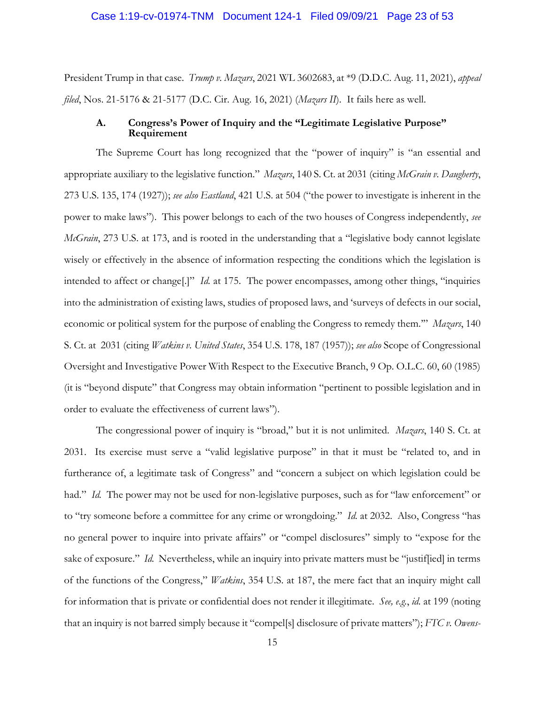<span id="page-22-0"></span> President Trump in that case. *Trump v. Mazars*, 2021 WL 3602683, at \*9 (D.D.C. Aug. 11, 2021), *appeal filed*, Nos. 21-5176 & 21-5177 (D.C. Cir. Aug. 16, 2021) (*Mazars II*). It fails here as well.

## **Requirement A. Congress's Power of Inquiry and the "Legitimate Legislative Purpose"**

 The Supreme Court has long recognized that the "power of inquiry" is "an essential and appropriate auxiliary to the legislative function." *Mazars*, 140 S. Ct. at 2031 (citing *McGrain v. Daugherty*, *McGrain*, 273 U.S. at 173, and is rooted in the understanding that a "legislative body cannot legislate into the administration of existing laws, studies of proposed laws, and 'surveys of defects in our social, economic or political system for the purpose of enabling the Congress to remedy them.'" *Mazars*, 140 (it is "beyond dispute" that Congress may obtain information "pertinent to possible legislation and in 273 U.S. 135, 174 (1927)); *see also Eastland*, 421 U.S. at 504 ("the power to investigate is inherent in the power to make laws"). This power belongs to each of the two houses of Congress independently, *see*  wisely or effectively in the absence of information respecting the conditions which the legislation is intended to affect or change[.]" *Id.* at 175. The power encompasses, among other things, "inquiries S. Ct. at 2031 (citing *Watkins v. United States*, 354 U.S. 178, 187 (1957)); *see also* Scope of Congressional Oversight and Investigative Power With Respect to the Executive Branch, 9 Op. O.L.C. 60, 60 (1985) order to evaluate the effectiveness of current laws").

 The congressional power of inquiry is "broad," but it is not unlimited. *Mazars*, 140 S. Ct. at 2031. Its exercise must serve a "valid legislative purpose" in that it must be "related to, and in furtherance of, a legitimate task of Congress" and "concern a subject on which legislation could be had." *Id.* The power may not be used for non-legislative purposes, such as for "law enforcement" or to "try someone before a committee for any crime or wrongdoing." *Id.* at 2032. Also, Congress "has no general power to inquire into private affairs" or "compel disclosures" simply to "expose for the sake of exposure." *Id.* Nevertheless, while an inquiry into private matters must be "justiffied] in terms of the functions of the Congress," *Watkins*, 354 U.S. at 187, the mere fact that an inquiry might call for information that is private or confidential does not render it illegitimate. *See, e.g.*, *id.* at 199 (noting that an inquiry is not barred simply because it "compel[s] disclosure of private matters"); *FTC v. Owens-*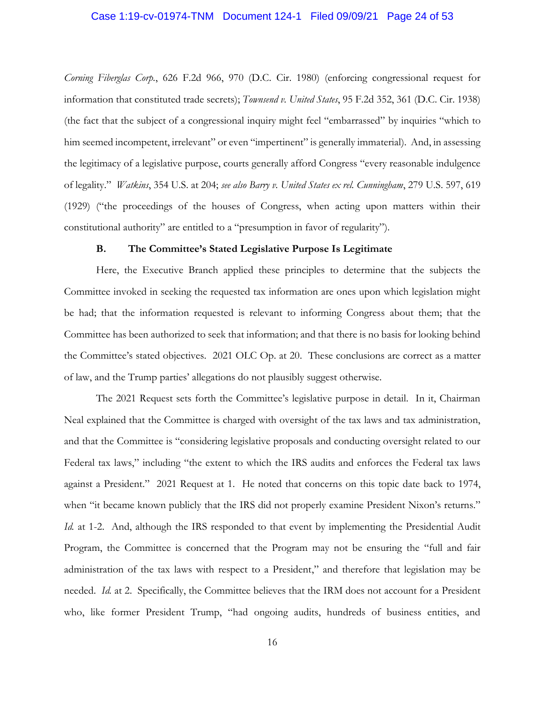#### <span id="page-23-0"></span>Case 1:19-cv-01974-TNM Document 124-1 Filed 09/09/21 Page 24 of 53

him seemed incompetent, irrelevant" or even "impertinent" is generally immaterial). And, in assessing  of legality." *Watkins*, 354 U.S. at 204; *see also Barry v. United States ex rel. Cunningham*, 279 U.S. 597, 619 constitutional authority" are entitled to a "presumption in favor of regularity"). *Corning Fiberglas Corp.*, 626 F.2d 966, 970 (D.C. Cir. 1980) (enforcing congressional request for information that constituted trade secrets); *Townsend v. United States*, 95 F.2d 352, 361 (D.C. Cir. 1938) (the fact that the subject of a congressional inquiry might feel "embarrassed" by inquiries "which to the legitimacy of a legislative purpose, courts generally afford Congress "every reasonable indulgence (1929) ("the proceedings of the houses of Congress, when acting upon matters within their

### **B. The Committee's Stated Legislative Purpose Is Legitimate**

 Committee has been authorized to seek that information; and that there is no basis for looking behind the Committee's stated objectives. 2021 OLC Op. at 20. These conclusions are correct as a matter of law, and the Trump parties' allegations do not plausibly suggest otherwise. Here, the Executive Branch applied these principles to determine that the subjects the Committee invoked in seeking the requested tax information are ones upon which legislation might be had; that the information requested is relevant to informing Congress about them; that the

 The 2021 Request sets forth the Committee's legislative purpose in detail. In it, Chairman Neal explained that the Committee is charged with oversight of the tax laws and tax administration, and that the Committee is "considering legislative proposals and conducting oversight related to our Federal tax laws," including "the extent to which the IRS audits and enforces the Federal tax laws against a President." 2021 Request at 1. He noted that concerns on this topic date back to 1974, when "it became known publicly that the IRS did not properly examine President Nixon's returns." Id. at 1-2. And, although the IRS responded to that event by implementing the Presidential Audit Program, the Committee is concerned that the Program may not be ensuring the "full and fair administration of the tax laws with respect to a President," and therefore that legislation may be needed. *Id.* at 2. Specifically, the Committee believes that the IRM does not account for a President who, like former President Trump, "had ongoing audits, hundreds of business entities, and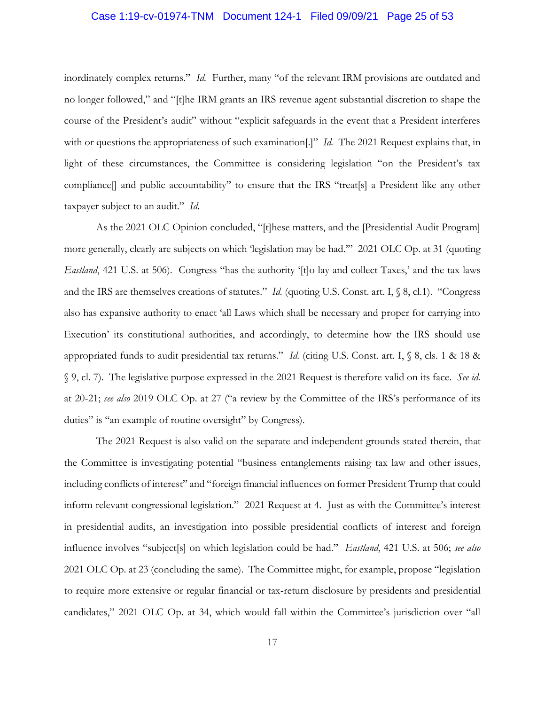#### <span id="page-24-0"></span>Case 1:19-cv-01974-TNM Document 124-1 Filed 09/09/21 Page 25 of 53

 inordinately complex returns." *Id.* Further, many "of the relevant IRM provisions are outdated and with or questions the appropriateness of such examination[.]" *Id.* The 2021 Request explains that, in light of these circumstances, the Committee is considering legislation "on the President's tax compliance[] and public accountability" to ensure that the IRS "treat[s] a President like any other taxpayer subject to an audit." *Id.* no longer followed," and "[t]he IRM grants an IRS revenue agent substantial discretion to shape the course of the President's audit" without "explicit safeguards in the event that a President interferes

 As the 2021 OLC Opinion concluded, "[t]hese matters, and the [Presidential Audit Program] more generally, clearly are subjects on which 'legislation may be had.'" 2021 OLC Op. at 31 (quoting *Eastland*, 421 U.S. at 506). Congress "has the authority '[t]o lay and collect Taxes,' and the tax laws and the IRS are themselves creations of statutes." *Id.* (quoting U.S. Const. art. I, § 8, cl.1). "Congress also has expansive authority to enact 'all Laws which shall be necessary and proper for carrying into Execution' its constitutional authorities, and accordingly, to determine how the IRS should use appropriated funds to audit presidential tax returns." *Id.* (citing U.S. Const. art. I, § 8, cls. 1 & 18 & § 9, cl. 7). The legislative purpose expressed in the 2021 Request is therefore valid on its face. *See id.*  at 20-21; *see also* 2019 OLC Op. at 27 ("a review by the Committee of the IRS's performance of its duties" is "an example of routine oversight" by Congress).

 the Committee is investigating potential "business entanglements raising tax law and other issues, including conflicts of interest" and "foreign financial influences on former President Trump that could inform relevant congressional legislation." 2021 Request at 4. Just as with the Committee's interest in presidential audits, an investigation into possible presidential conflicts of interest and foreign 2021 OLC Op. at 23 (concluding the same). The Committee might, for example, propose "legislation The 2021 Request is also valid on the separate and independent grounds stated therein, that influence involves "subject[s] on which legislation could be had." *Eastland*, 421 U.S. at 506; *see also*  to require more extensive or regular financial or tax-return disclosure by presidents and presidential candidates," 2021 OLC Op. at 34, which would fall within the Committee's jurisdiction over "all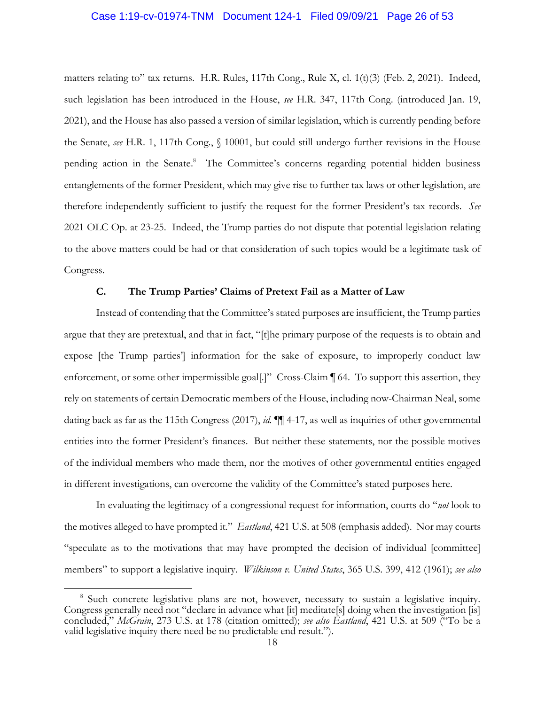#### <span id="page-25-0"></span>Case 1:19-cv-01974-TNM Document 124-1 Filed 09/09/21 Page 26 of 53

 matters relating to" tax returns. H.R. Rules, 117th Cong., Rule X, cl. 1(t)(3) (Feb. 2, 2021). Indeed, such legislation has been introduced in the House, *see* H.R. 347, 117th Cong. (introduced Jan. 19, pending action in the Senate.<sup>8</sup> The Committee's concerns regarding potential hidden business entanglements of the former President, which may give rise to further tax laws or other legislation, are therefore independently sufficient to justify the request for the former President's tax records. *See*  2021 OLC Op. at 23-25. Indeed, the Trump parties do not dispute that potential legislation relating 2021), and the House has also passed a version of similar legislation, which is currently pending before the Senate, *see* H.R. 1, 117th Cong., § 10001, but could still undergo further revisions in the House to the above matters could be had or that consideration of such topics would be a legitimate task of Congress.

### **C. The Trump Parties' Claims of Pretext Fail as a Matter of Law**

 Instead of contending that the Committee's stated purposes are insufficient, the Trump parties expose [the Trump parties'] information for the sake of exposure, to improperly conduct law enforcement, or some other impermissible goal[.]" Cross-Claim [64. To support this assertion, they rely on statements of certain Democratic members of the House, including now-Chairman Neal, some dating back as far as the 115th Congress (2017), *id.* ¶¶ 4-17, as well as inquiries of other governmental entities into the former President's finances. But neither these statements, nor the possible motives of the individual members who made them, nor the motives of other governmental entities engaged argue that they are pretextual, and that in fact, "[t]he primary purpose of the requests is to obtain and in different investigations, can overcome the validity of the Committee's stated purposes here.

 the motives alleged to have prompted it." *Eastland*, 421 U.S. at 508 (emphasis added). Nor may courts "speculate as to the motivations that may have prompted the decision of individual [committee] members" to support a legislative inquiry. *Wilkinson v. United States*, 365 U.S. 399, 412 (1961); *see also*  In evaluating the legitimacy of a congressional request for information, courts do "*not* look to

<sup>&</sup>lt;sup>8</sup> Such concrete legislative plans are not, however, necessary to sustain a legislative inquiry. Congress generally need not "declare in advance what [it] meditate[s] doing when the investigation [is] concluded," *McGrain*, 273 U.S. at 178 (citation omitted); *see also Eastland*, 421 U.S. at 509 ("To be a valid legislative inquiry there need be no predictable end result.").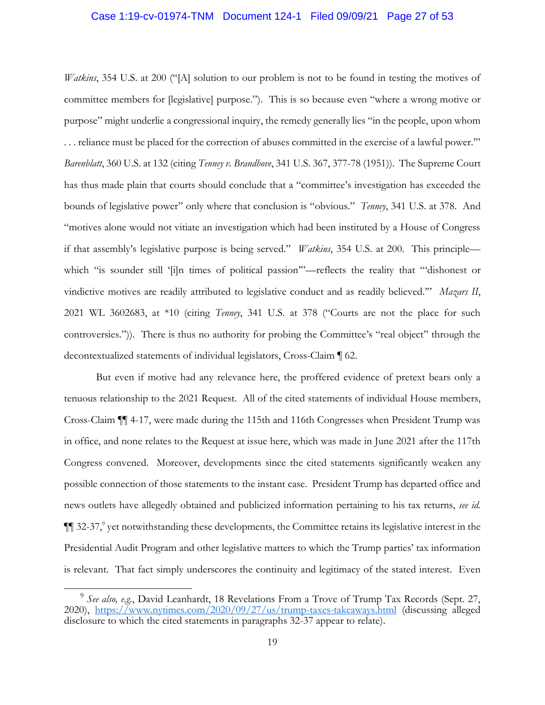#### Case 1:19-cv-01974-TNM Document 124-1 Filed 09/09/21 Page 27 of 53

 *Watkins*, 354 U.S. at 200 ("[A] solution to our problem is not to be found in testing the motives of committee members for [legislative] purpose."). This is so because even "where a wrong motive or purpose" might underlie a congressional inquiry, the remedy generally lies "in the people, upon whom . . . reliance must be placed for the correction of abuses committed in the exercise of a lawful power.'" *Barenblatt*, 360 U.S. at 132 (citing *Tenney v. Brandhove*, 341 U.S. 367, 377-78 (1951)). The Supreme Court has thus made plain that courts should conclude that a "committee's investigation has exceeded the bounds of legislative power" only where that conclusion is "obvious." *Tenney*, 341 U.S. at 378. And "motives alone would not vitiate an investigation which had been instituted by a House of Congress if that assembly's legislative purpose is being served." *Watkins*, 354 U.S. at 200. This principle— which "is sounder still '[i]n times of political passion'"—reflects the reality that "'dishonest or vindictive motives are readily attributed to legislative conduct and as readily believed.'" *Mazars II*, 2021 WL 3602683, at \*10 (citing *Tenney*, 341 U.S. at 378 ("Courts are not the place for such controversies.")). There is thus no authority for probing the Committee's "real object" through the decontextualized statements of individual legislators, Cross-Claim ¶ 62.

 But even if motive had any relevance here, the proffered evidence of pretext bears only a in office, and none relates to the Request at issue here, which was made in June 2021 after the 117th possible connection of those statements to the instant case. President Trump has departed office and news outlets have allegedly obtained and publicized information pertaining to his tax returns, *see id.*   $\P$  32-37,<sup>9</sup> yet notwithstanding these developments, the Committee retains its legislative interest in the is relevant. That fact simply underscores the continuity and legitimacy of the stated interest. Even tenuous relationship to the 2021 Request. All of the cited statements of individual House members, Cross-Claim ¶¶ 4-17, were made during the 115th and 116th Congresses when President Trump was Congress convened. Moreover, developments since the cited statements significantly weaken any Presidential Audit Program and other legislative matters to which the Trump parties' tax information

<sup>&</sup>lt;sup>9</sup> See also, e.g., David Leanhardt, 18 Revelations From a Trove of Trump Tax Records (Sept. 27, disclosure to which the cited statements in paragraphs 32-37 appear to relate).<br>19 2020), <https://www.nytimes.com/2020/09/27/us/trump-taxes-takeaways.html>(discussing alleged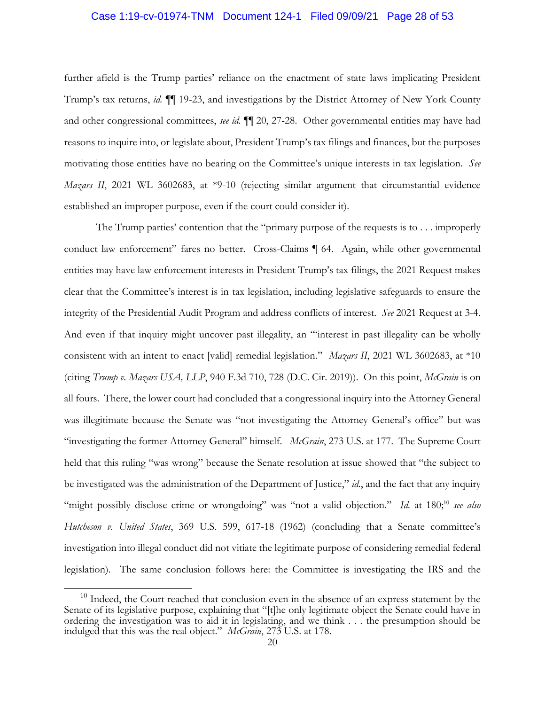#### <span id="page-27-0"></span>Case 1:19-cv-01974-TNM Document 124-1 Filed 09/09/21 Page 28 of 53

 further afield is the Trump parties' reliance on the enactment of state laws implicating President Trump's tax returns, *id.* ¶¶ 19-23, and investigations by the District Attorney of New York County and other congressional committees, *see id.* ¶¶ 20, 27-28. Other governmental entities may have had reasons to inquire into, or legislate about, President Trump's tax filings and finances, but the purposes motivating those entities have no bearing on the Committee's unique interests in tax legislation. *See Mazars II*, 2021 WL 3602683, at \*9-10 (rejecting similar argument that circumstantial evidence established an improper purpose, even if the court could consider it).

 clear that the Committee's interest is in tax legislation, including legislative safeguards to ensure the consistent with an intent to enact [valid] remedial legislation." *Mazars II*, 2021 WL 3602683, at \*10 all fours. There, the lower court had concluded that a congressional inquiry into the Attorney General was illegitimate because the Senate was "not investigating the Attorney General's office" but was "investigating the former Attorney General" himself. *McGrain*, 273 U.S. at 177. The Supreme Court held that this ruling "was wrong" because the Senate resolution at issue showed that "the subject to be investigated was the administration of the Department of Justice," *id.*, and the fact that any inquiry "might possibly disclose crime or wrongdoing" was "not a valid objection." *Id.* at 180;<sup>10</sup> see also legislation). The same conclusion follows here: the Committee is investigating the IRS and the The Trump parties' contention that the "primary purpose of the requests is to . . . improperly conduct law enforcement" fares no better. Cross-Claims | 64. Again, while other governmental entities may have law enforcement interests in President Trump's tax filings, the 2021 Request makes integrity of the Presidential Audit Program and address conflicts of interest. *See* 2021 Request at 3-4. And even if that inquiry might uncover past illegality, an "'interest in past illegality can be wholly (citing *Trump v. Mazars USA, LLP*, 940 F.3d 710, 728 (D.C. Cir. 2019)). On this point, *McGrain* is on *Hutcheson v. United States*, 369 U.S. 599, 617-18 (1962) (concluding that a Senate committee's investigation into illegal conduct did not vitiate the legitimate purpose of considering remedial federal

 $10$  Indeed, the Court reached that conclusion even in the absence of an express statement by the Senate of its legislative purpose, explaining that "[t]he only legitimate object the Senate could have in indulged that this was the real object." *McGrain*, 273 U.S. at 178. ordering the investigation was to aid it in legislating, and we think . . . the presumption should be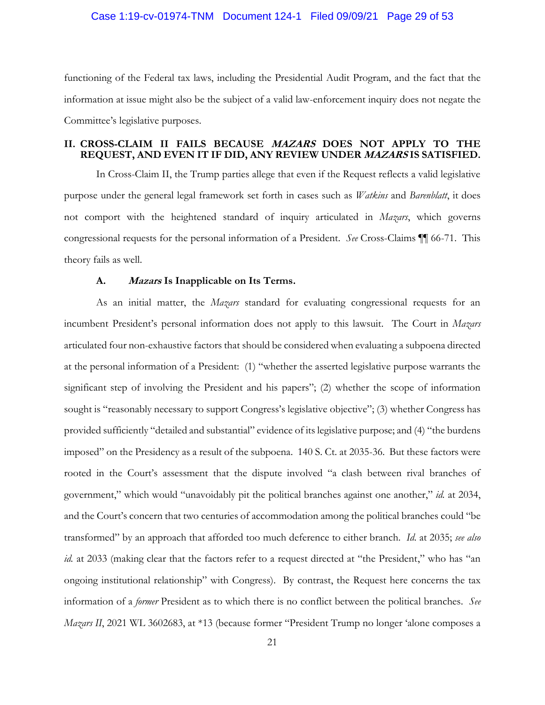#### <span id="page-28-0"></span>Case 1:19-cv-01974-TNM Document 124-1 Filed 09/09/21 Page 29 of 53

 functioning of the Federal tax laws, including the Presidential Audit Program, and the fact that the information at issue might also be the subject of a valid law-enforcement inquiry does not negate the Committee's legislative purposes.

#### **II. CROSS-CLAIM II FAILS BECAUSE MAZARS DOES NOT APPLY TO THE REQUEST, AND EVEN IT IF DID, ANY REVIEW UNDER MAZARS IS SATISFIED.**

 In Cross-Claim II, the Trump parties allege that even if the Request reflects a valid legislative congressional requests for the personal information of a President. *See* Cross-Claims ¶¶ 66-71. This purpose under the general legal framework set forth in cases such as *Watkins* and *Barenblatt*, it does not comport with the heightened standard of inquiry articulated in *Mazars*, which governs theory fails as well.

#### **A. Mazars Is Inapplicable on Its Terms.**

 As an initial matter, the *Mazars* standard for evaluating congressional requests for an incumbent President's personal information does not apply to this lawsuit. The Court in *Mazars*  significant step of involving the President and his papers"; (2) whether the scope of information sought is "reasonably necessary to support Congress's legislative objective"; (3) whether Congress has provided sufficiently "detailed and substantial" evidence of its legislative purpose; and (4) "the burdens imposed" on the Presidency as a result of the subpoena. 140 S. Ct. at 2035-36. But these factors were rooted in the Court's assessment that the dispute involved "a clash between rival branches of  transformed" by an approach that afforded too much deference to either branch. *Id.* at 2035; *see also id.* at 2033 (making clear that the factors refer to a request directed at "the President," who has "an ongoing institutional relationship" with Congress). By contrast, the Request here concerns the tax information of a *former* President as to which there is no conflict between the political branches. *See*  articulated four non-exhaustive factors that should be considered when evaluating a subpoena directed at the personal information of a President: (1) "whether the asserted legislative purpose warrants the government," which would "unavoidably pit the political branches against one another," *id.* at 2034, and the Court's concern that two centuries of accommodation among the political branches could "be *Mazars II*, 2021 WL 3602683, at \*13 (because former "President Trump no longer 'alone composes a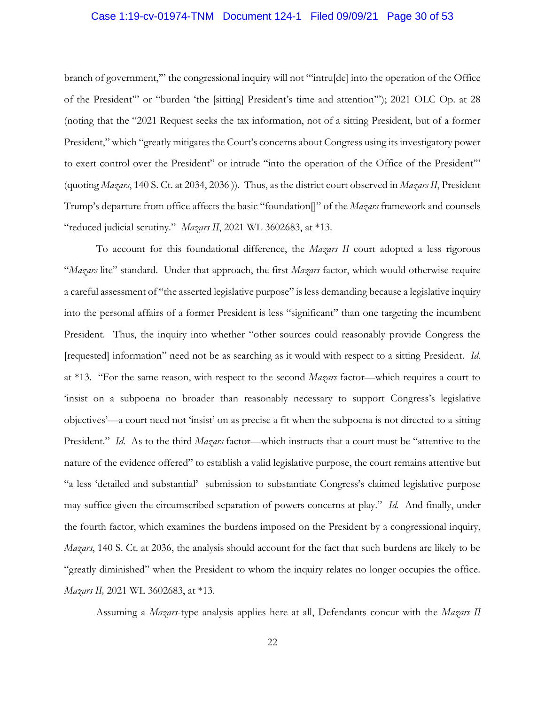#### Case 1:19-cv-01974-TNM Document 124-1 Filed 09/09/21 Page 30 of 53

 of the President'" or "burden 'the [sitting] President's time and attention'"); 2021 OLC Op. at 28 (noting that the "2021 Request seeks the tax information, not of a sitting President, but of a former President," which "greatly mitigates the Court's concerns about Congress using its investigatory power to exert control over the President" or intrude "into the operation of the Office of the President" (quoting *Mazars*, 140 S. Ct. at 2034, 2036 )). Thus, as the district court observed in *Mazars II*, President Trump's departure from office affects the basic "foundation[]" of the *Mazars* framework and counsels branch of government,'" the congressional inquiry will not "'intru[de] into the operation of the Office "reduced judicial scrutiny." *Mazars II*, 2021 WL 3602683, at \*13.

 To account for this foundational difference, the *Mazars II* court adopted a less rigorous "*Mazars* lite" standard. Under that approach, the first *Mazars* factor, which would otherwise require a careful assessment of "the asserted legislative purpose" is less demanding because a legislative inquiry into the personal affairs of a former President is less "significant" than one targeting the incumbent [requested] information" need not be as searching as it would with respect to a sitting President. *Id.*  at \*13. "For the same reason, with respect to the second *Mazars* factor—which requires a court to 'insist on a subpoena no broader than reasonably necessary to support Congress's legislative President." *Id.* As to the third *Mazars* factor—which instructs that a court must be "attentive to the nature of the evidence offered" to establish a valid legislative purpose, the court remains attentive but "a less 'detailed and substantial' submission to substantiate Congress's claimed legislative purpose may suffice given the circumscribed separation of powers concerns at play." *Id.* And finally, under *Mazars*, 140 S. Ct. at 2036, the analysis should account for the fact that such burdens are likely to be "greatly diminished" when the President to whom the inquiry relates no longer occupies the office. Mazars II, 2021 WL 3602683, at \*13. *Mazars II,* 2021 WL 3602683, at \*13. Assuming a *Mazars*-type analysis applies here at all, Defendants concur with the *Mazars II*  President. Thus, the inquiry into whether "other sources could reasonably provide Congress the objectives'—a court need not 'insist' on as precise a fit when the subpoena is not directed to a sitting the fourth factor, which examines the burdens imposed on the President by a congressional inquiry,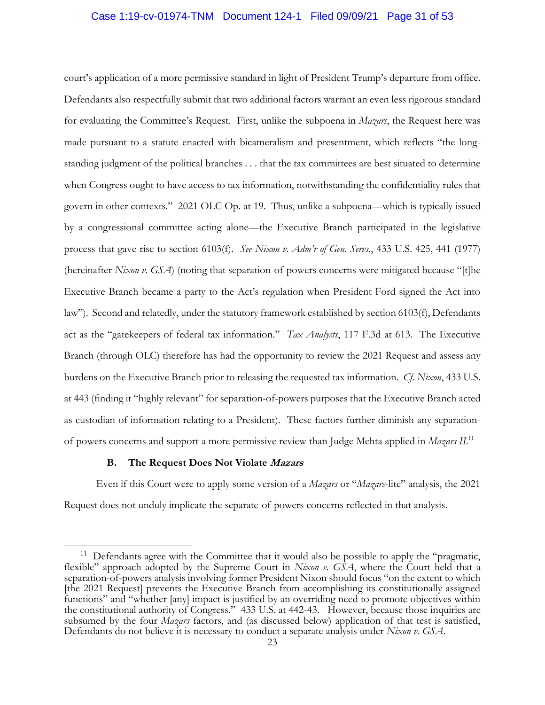#### <span id="page-30-0"></span>Case 1:19-cv-01974-TNM Document 124-1 Filed 09/09/21 Page 31 of 53

 court's application of a more permissive standard in light of President Trump's departure from office. Defendants also respectfully submit that two additional factors warrant an even less rigorous standard for evaluating the Committee's Request. First, unlike the subpoena in *Mazars*, the Request here was when Congress ought to have access to tax information, notwithstanding the confidentiality rules that govern in other contexts." 2021 OLC Op. at 19. Thus, unlike a subpoena—which is typically issued by a congressional committee acting alone—the Executive Branch participated in the legislative process that gave rise to section 6103(f). *See Nixon v. Adm'r of Gen. Servs.*, 433 U.S. 425, 441 (1977) Executive Branch became a party to the Act's regulation when President Ford signed the Act into act as the "gatekeepers of federal tax information." *Tax Analysts*, 117 F.3d at 613. The Executive burdens on the Executive Branch prior to releasing the requested tax information. *Cf. Nixon*, 433 U.S. of-powers concerns and support a more permissive review than Judge Mehta applied in *Mazars II*. 11 made pursuant to a statute enacted with bicameralism and presentment, which reflects "the longstanding judgment of the political branches . . . that the tax committees are best situated to determine (hereinafter *Nixon v. GSA*) (noting that separation-of-powers concerns were mitigated because "[t]he law"). Second and relatedly, under the statutory framework established by section 6103(f), Defendants Branch (through OLC) therefore has had the opportunity to review the 2021 Request and assess any at 443 (finding it "highly relevant" for separation-of-powers purposes that the Executive Branch acted as custodian of information relating to a President). These factors further diminish any separation-

#### **B. The Request Does Not Violate Mazars**

 $\overline{a}$ 

 Even if this Court were to apply some version of a *Mazars* or "*Mazars*-lite" analysis, the 2021 Request does not unduly implicate the separate-of-powers concerns reflected in that analysis.

 $11$  Defendants agree with the Committee that it would also be possible to apply the "pragmatic, separation-of-powers analysis involving former President Nixon should focus "on the extent to which subsumed by the four *Mazars* factors, and (as discussed below) application of that test is satisfied, flexible" approach adopted by the Supreme Court in *Nixon v. GSA*, where the Court held that a [the 2021 Request] prevents the Executive Branch from accomplishing its constitutionally assigned functions" and "whether [any] impact is justified by an overriding need to promote objectives within the constitutional authority of Congress." 433 U.S. at 442-43. However, because those inquiries are Defendants do not believe it is necessary to conduct a separate analysis under *Nixon v. GSA*.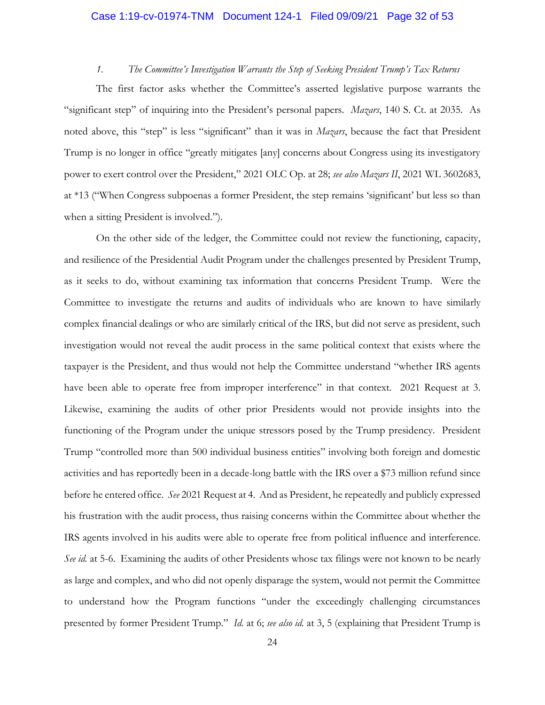#### Case 1:19-cv-01974-TNM Document 124-1 Filed 09/09/21 Page 32 of 53

#### *1. The Committee's Investigation Warrants the Step of Seeking President Trump's Tax Returns*

 noted above, this "step" is less "significant" than it was in *Mazars*, because the fact that President Trump is no longer in office "greatly mitigates [any] concerns about Congress using its investigatory power to exert control over the President," 2021 OLC Op. at 28; *see also Mazars II*, 2021 WL 3602683, The first factor asks whether the Committee's asserted legislative purpose warrants the "significant step" of inquiring into the President's personal papers. *Mazars*, 140 S. Ct. at 2035. As at \*13 ("When Congress subpoenas a former President, the step remains 'significant' but less so than when a sitting President is involved.").

 On the other side of the ledger, the Committee could not review the functioning, capacity, as it seeks to do, without examining tax information that concerns President Trump. Were the complex financial dealings or who are similarly critical of the IRS, but did not serve as president, such taxpayer is the President, and thus would not help the Committee understand "whether IRS agents have been able to operate free from improper interference" in that context. 2021 Request at 3. Likewise, examining the audits of other prior Presidents would not provide insights into the functioning of the Program under the unique stressors posed by the Trump presidency. President activities and has reportedly been in a decade-long battle with the IRS over a \$73 million refund since before he entered office. *See* 2021 Request at 4. And as President, he repeatedly and publicly expressed IRS agents involved in his audits were able to operate free from political influence and interference. *See id.* at 5-6. Examining the audits of other Presidents whose tax filings were not known to be nearly as large and complex, and who did not openly disparage the system, would not permit the Committee and resilience of the Presidential Audit Program under the challenges presented by President Trump, Committee to investigate the returns and audits of individuals who are known to have similarly investigation would not reveal the audit process in the same political context that exists where the Trump "controlled more than 500 individual business entities" involving both foreign and domestic his frustration with the audit process, thus raising concerns within the Committee about whether the to understand how the Program functions "under the exceedingly challenging circumstances presented by former President Trump." *Id.* at 6; *see also id.* at 3, 5 (explaining that President Trump is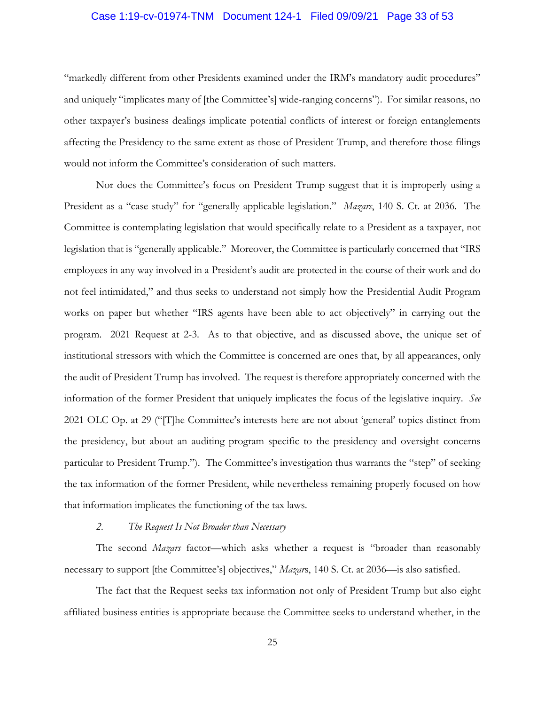#### <span id="page-32-0"></span>Case 1:19-cv-01974-TNM Document 124-1 Filed 09/09/21 Page 33 of 53

 and uniquely "implicates many of [the Committee's] wide-ranging concerns"). For similar reasons, no other taxpayer's business dealings implicate potential conflicts of interest or foreign entanglements "markedly different from other Presidents examined under the IRM's mandatory audit procedures" affecting the Presidency to the same extent as those of President Trump, and therefore those filings would not inform the Committee's consideration of such matters.

 Nor does the Committee's focus on President Trump suggest that it is improperly using a President as a "case study" for "generally applicable legislation." *Mazars*, 140 S. Ct. at 2036. The Committee is contemplating legislation that would specifically relate to a President as a taxpayer, not legislation that is "generally applicable." Moreover, the Committee is particularly concerned that "IRS not feel intimidated," and thus seeks to understand not simply how the Presidential Audit Program works on paper but whether "IRS agents have been able to act objectively" in carrying out the program. 2021 Request at 2-3. As to that objective, and as discussed above, the unique set of institutional stressors with which the Committee is concerned are ones that, by all appearances, only information of the former President that uniquely implicates the focus of the legislative inquiry. *See*  2021 OLC Op. at 29 ("[T]he Committee's interests here are not about 'general' topics distinct from particular to President Trump."). The Committee's investigation thus warrants the "step" of seeking the tax information of the former President, while nevertheless remaining properly focused on how employees in any way involved in a President's audit are protected in the course of their work and do the audit of President Trump has involved. The request is therefore appropriately concerned with the the presidency, but about an auditing program specific to the presidency and oversight concerns that information implicates the functioning of the tax laws.

#### *2. The Request Is Not Broader than Necessary*

 The second *Mazars* factor—which asks whether a request is "broader than reasonably necessary to support [the Committee's] objectives," *Mazar*s, 140 S. Ct. at 2036—is also satisfied.

 The fact that the Request seeks tax information not only of President Trump but also eight affiliated business entities is appropriate because the Committee seeks to understand whether, in the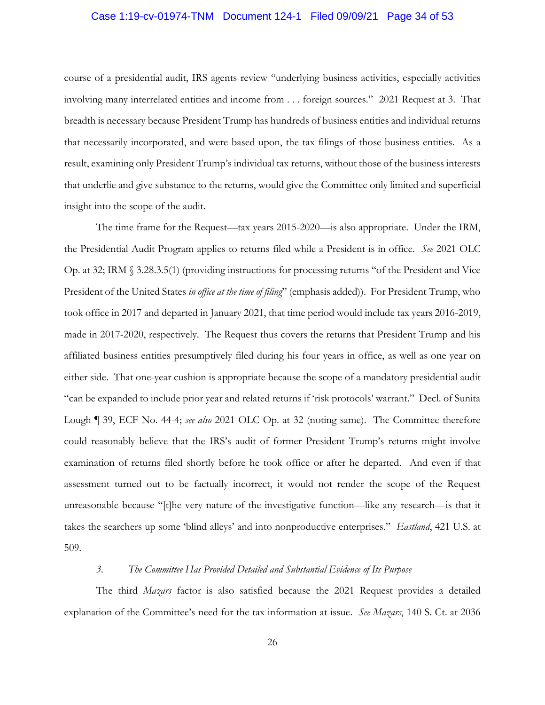#### <span id="page-33-0"></span>Case 1:19-cv-01974-TNM Document 124-1 Filed 09/09/21 Page 34 of 53

 course of a presidential audit, IRS agents review "underlying business activities, especially activities involving many interrelated entities and income from . . . foreign sources." 2021 Request at 3. That breadth is necessary because President Trump has hundreds of business entities and individual returns that necessarily incorporated, and were based upon, the tax filings of those business entities. As a result, examining only President Trump's individual tax returns, without those of the business interests that underlie and give substance to the returns, would give the Committee only limited and superficial insight into the scope of the audit. insight into the scope of the audit. The time frame for the Request—tax years 2015-2020—is also appropriate. Under the IRM,

 the Presidential Audit Program applies to returns filed while a President is in office. *See* 2021 OLC Op. at 32; IRM § 3.28.3.5(1) (providing instructions for processing returns "of the President and Vice  President of the United States *in office at the time of filing*" (emphasis added)). For President Trump, who took office in 2017 and departed in January 2021, that time period would include tax years 2016-2019, made in 2017-2020, respectively. The Request thus covers the returns that President Trump and his affiliated business entities presumptively filed during his four years in office, as well as one year on either side. That one-year cushion is appropriate because the scope of a mandatory presidential audit Lough ¶ 39, ECF No. 44-4; *see also* 2021 OLC Op. at 32 (noting same). The Committee therefore could reasonably believe that the IRS's audit of former President Trump's returns might involve examination of returns filed shortly before he took office or after he departed. And even if that assessment turned out to be factually incorrect, it would not render the scope of the Request unreasonable because "[t]he very nature of the investigative function—like any research—is that it takes the searchers up some 'blind alleys' and into nonproductive enterprises." *Eastland*, 421 U.S. at 509. "can be expanded to include prior year and related returns if 'risk protocols' warrant." Decl. of Sunita

#### *3. The Committee Has Provided Detailed and Substantial Evidence of Its Purpose*

 The third *Mazars* factor is also satisfied because the 2021 Request provides a detailed explanation of the Committee's need for the tax information at issue. *See Mazars*, 140 S. Ct. at 2036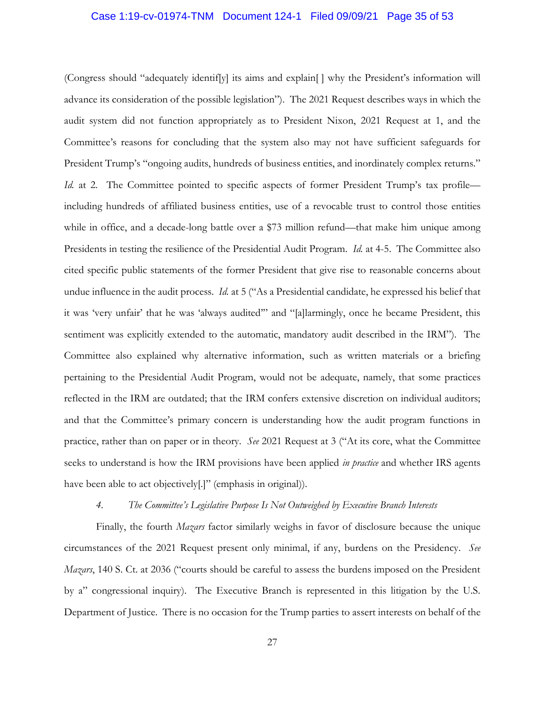#### <span id="page-34-0"></span>Case 1:19-cv-01974-TNM Document 124-1 Filed 09/09/21 Page 35 of 53

 (Congress should "adequately identif[y] its aims and explain[ ] why the President's information will Committee's reasons for concluding that the system also may not have sufficient safeguards for President Trump's "ongoing audits, hundreds of business entities, and inordinately complex returns." while in office, and a decade-long battle over a \$73 million refund—that make him unique among cited specific public statements of the former President that give rise to reasonable concerns about undue influence in the audit process. *Id.* at 5 ("As a Presidential candidate, he expressed his belief that it was 'very unfair' that he was 'always audited'" and "[a]larmingly, once he became President, this Committee also explained why alternative information, such as written materials or a briefing reflected in the IRM are outdated; that the IRM confers extensive discretion on individual auditors; practice, rather than on paper or in theory. *See* 2021 Request at 3 ("At its core, what the Committee seeks to understand is how the IRM provisions have been applied *in practice* and whether IRS agents have been able to act objectively[.]" (emphasis in original)). advance its consideration of the possible legislation"). The 2021 Request describes ways in which the audit system did not function appropriately as to President Nixon, 2021 Request at 1, and the *Id.* at 2. The Committee pointed to specific aspects of former President Trump's tax profile including hundreds of affiliated business entities, use of a revocable trust to control those entities Presidents in testing the resilience of the Presidential Audit Program. *Id.* at 4-5. The Committee also sentiment was explicitly extended to the automatic, mandatory audit described in the IRM"). The pertaining to the Presidential Audit Program, would not be adequate, namely, that some practices and that the Committee's primary concern is understanding how the audit program functions in

#### *4. The Committee's Legislative Purpose Is Not Outweighed by Executive Branch Interests*

 *Mazars*, 140 S. Ct. at 2036 ("courts should be careful to assess the burdens imposed on the President by a" congressional inquiry). The Executive Branch is represented in this litigation by the U.S. Department of Justice. There is no occasion for the Trump parties to assert interests on behalf of the Finally, the fourth *Mazars* factor similarly weighs in favor of disclosure because the unique circumstances of the 2021 Request present only minimal, if any, burdens on the Presidency. *See*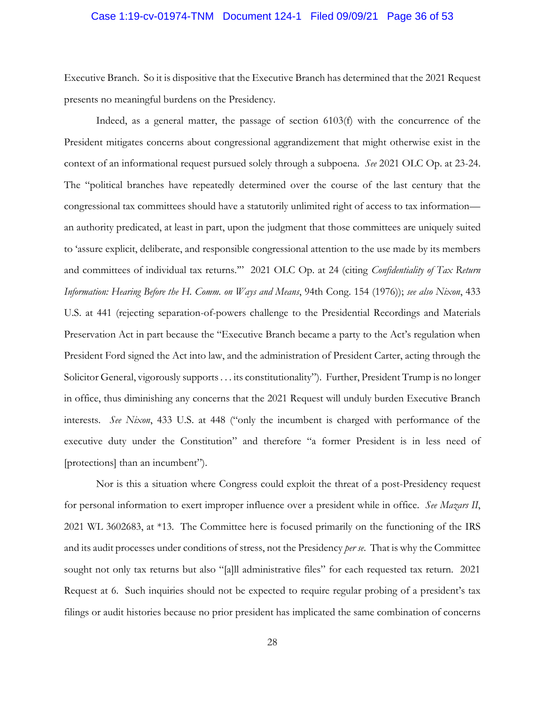#### <span id="page-35-0"></span>Case 1:19-cv-01974-TNM Document 124-1 Filed 09/09/21 Page 36 of 53

 Executive Branch. So it is dispositive that the Executive Branch has determined that the 2021 Request presents no meaningful burdens on the Presidency. presents no meaningful burdens on the Presidency.<br>Indeed, as a general matter, the passage of section 6103(f) with the concurrence of the

 President mitigates concerns about congressional aggrandizement that might otherwise exist in the context of an informational request pursued solely through a subpoena. *See* 2021 OLC Op. at 23-24. The "political branches have repeatedly determined over the course of the last century that the The "political branches have repeatedly determined over the course of the last century that the congressional tax committees should have a statutorily unlimited right of access to tax information— to 'assure explicit, deliberate, and responsible congressional attention to the use made by its members and committees of individual tax returns.'" 2021 OLC Op. at 24 (citing *Confidentiality of Tax Return Information: Hearing Before the H. Comm. on Ways and Means*, 94th Cong. 154 (1976)); *see also Nixon*, 433 U.S. at 441 (rejecting separation-of-powers challenge to the Presidential Recordings and Materials Preservation Act in part because the "Executive Branch became a party to the Act's regulation when President Ford signed the Act into law, and the administration of President Carter, acting through the Solicitor General, vigorously supports . . . its constitutionality"). Further, President Trump is no longer in office, thus diminishing any concerns that the 2021 Request will unduly burden Executive Branch executive duty under the Constitution" and therefore "a former President is in less need of an authority predicated, at least in part, upon the judgment that those committees are uniquely suited interests. *See Nixon*, 433 U.S. at 448 ("only the incumbent is charged with performance of the [protections] than an incumbent").

 Nor is this a situation where Congress could exploit the threat of a post-Presidency request for personal information to exert improper influence over a president while in office. *See Mazars II*, 2021 WL 3602683, at \*13. The Committee here is focused primarily on the functioning of the IRS and its audit processes under conditions of stress, not the Presidency *per se*. That is why the Committee sought not only tax returns but also "[a]ll administrative files" for each requested tax return. 2021 Request at 6. Such inquiries should not be expected to require regular probing of a president's tax filings or audit histories because no prior president has implicated the same combination of concerns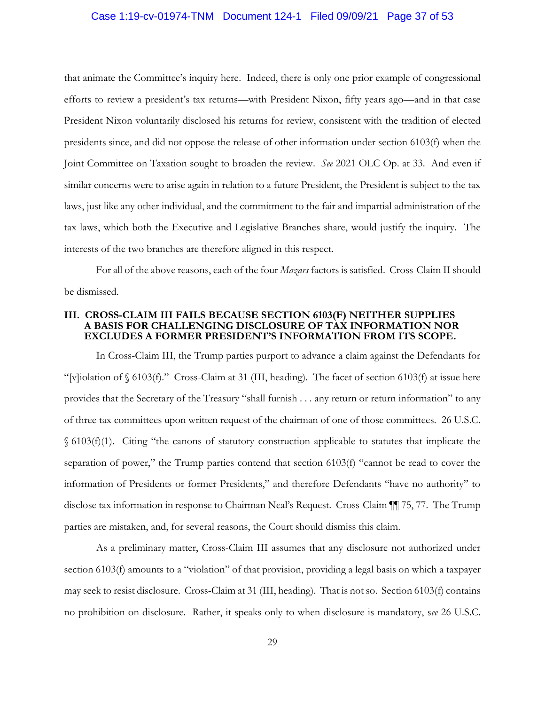#### <span id="page-36-0"></span>Case 1:19-cv-01974-TNM Document 124-1 Filed 09/09/21 Page 37 of 53

 that animate the Committee's inquiry here. Indeed, there is only one prior example of congressional efforts to review a president's tax returns—with President Nixon, fifty years ago—and in that case President Nixon voluntarily disclosed his returns for review, consistent with the tradition of elected Joint Committee on Taxation sought to broaden the review. *See* 2021 OLC Op. at 33. And even if tax laws, which both the Executive and Legislative Branches share, would justify the inquiry. The interests of the two branches are therefore aligned in this respect. interests of the two branches are therefore aligned in this respect. For all of the above reasons, each of the four *Mazars* factors is satisfied. Cross-Claim II should presidents since, and did not oppose the release of other information under section 6103(f) when the similar concerns were to arise again in relation to a future President, the President is subject to the tax laws, just like any other individual, and the commitment to the fair and impartial administration of the

be dismissed.

#### **III. CROSS-CLAIM III FAILS BECAUSE SECTION 6103(F) NEITHER SUPPLIES A BASIS FOR CHALLENGING DISCLOSURE OF TAX INFORMATION NOR EXCLUDES A FORMER PRESIDENT'S INFORMATION FROM ITS SCOPE.**

 In Cross-Claim III, the Trump parties purport to advance a claim against the Defendants for provides that the Secretary of the Treasury "shall furnish . . . any return or return information" to any of three tax committees upon written request of the chairman of one of those committees. 26 U.S.C. § 6103(f)(1). Citing "the canons of statutory construction applicable to statutes that implicate the separation of power," the Trump parties contend that section 6103(f) "cannot be read to cover the information of Presidents or former Presidents," and therefore Defendants "have no authority" to disclose tax information in response to Chairman Neal's Request. Cross-Claim ¶¶ 75, 77. The Trump "[v]iolation of  $\S$  6103(f)." Cross-Claim at 31 (III, heading). The facet of section 6103(f) at issue here parties are mistaken, and, for several reasons, the Court should dismiss this claim.

 As a preliminary matter, Cross-Claim III assumes that any disclosure not authorized under section 6103(f) amounts to a "violation" of that provision, providing a legal basis on which a taxpayer may seek to resist disclosure. Cross-Claim at 31 (III, heading). That is not so. Section 6103(f) contains no prohibition on disclosure. Rather, it speaks only to when disclosure is mandatory, s*ee* 26 U.S.C.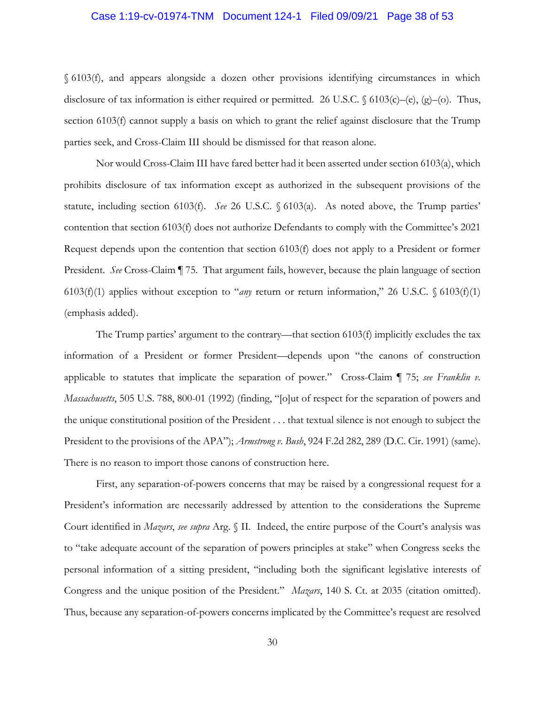#### Case 1:19-cv-01974-TNM Document 124-1 Filed 09/09/21 Page 38 of 53

§ 6103(f), and appears alongside a dozen other provisions identifying circumstances in which disclosure of tax information is either required or permitted. 26 U.S.C. § 6103(c)–(e), (g)–(o). Thus, section 6103(f) cannot supply a basis on which to grant the relief against disclosure that the Trump parties seek, and Cross-Claim III should be dismissed for that reason alone.

 Nor would Cross-Claim III have fared better had it been asserted under section 6103(a), which statute, including section 6103(f). *See* 26 U.S.C. § 6103(a). As noted above, the Trump parties' Request depends upon the contention that section 6103(f) does not apply to a President or former President. *See* Cross-Claim ¶ 75. That argument fails, however, because the plain language of section prohibits disclosure of tax information except as authorized in the subsequent provisions of the contention that section 6103(f) does not authorize Defendants to comply with the Committee's 2021 6103(f)(1) applies without exception to "*any* return or return information," 26 U.S.C. § 6103(f)(1) (emphasis added).

 The Trump parties' argument to the contrary—that section 6103(f) implicitly excludes the tax the unique constitutional position of the President . . . that textual silence is not enough to subject the information of a President or former President—depends upon "the canons of construction applicable to statutes that implicate the separation of power." Cross-Claim ¶ 75; *see Franklin v. Massachusetts*, 505 U.S. 788, 800-01 (1992) (finding, "[o]ut of respect for the separation of powers and President to the provisions of the APA"); *Armstrong v. Bush*, 924 F.2d 282, 289 (D.C. Cir. 1991) (same)*.*  There is no reason to import those canons of construction here.

 First, any separation-of-powers concerns that may be raised by a congressional request for a Court identified in *Mazars*, *see supra* Arg. § II. Indeed, the entire purpose of the Court's analysis was to "take adequate account of the separation of powers principles at stake" when Congress seeks the personal information of a sitting president, "including both the significant legislative interests of Congress and the unique position of the President." *Mazars*, 140 S. Ct. at 2035 (citation omitted). Thus, because any separation-of-powers concerns implicated by the Committee's request are resolved Thus, because any separation-of-powers concerns implicated by the Committee's request are resolved President's information are necessarily addressed by attention to the considerations the Supreme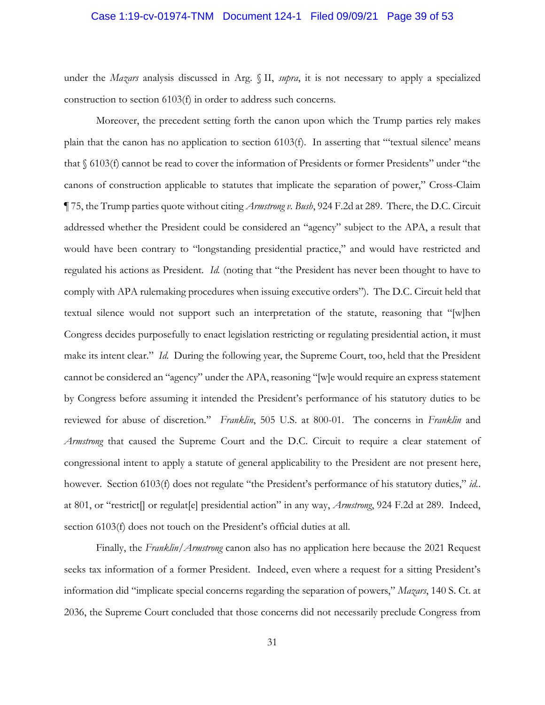#### <span id="page-38-0"></span>Case 1:19-cv-01974-TNM Document 124-1 Filed 09/09/21 Page 39 of 53

under the *Mazars* analysis discussed in Arg. § II, *supra*, it is not necessary to apply a specialized construction to section 6103(f) in order to address such concerns.

 Moreover, the precedent setting forth the canon upon which the Trump parties rely makes plain that the canon has no application to section 6103(f). In asserting that "'textual silence' means canons of construction applicable to statutes that implicate the separation of power," Cross-Claim ¶ 75, the Trump parties quote without citing *Armstrong v. Bush*, 924 F.2d at 289. There, the D.C. Circuit addressed whether the President could be considered an "agency" subject to the APA, a result that regulated his actions as President. *Id.* (noting that "the President has never been thought to have to comply with APA rulemaking procedures when issuing executive orders"). The D.C. Circuit held that Congress decides purposefully to enact legislation restricting or regulating presidential action, it must make its intent clear." *Id.* During the following year, the Supreme Court, too, held that the President cannot be considered an "agency" under the APA, reasoning "[w]e would require an express statement by Congress before assuming it intended the President's performance of his statutory duties to be reviewed for abuse of discretion." *Franklin*, 505 U.S. at 800-01. The concerns in *Franklin* and *Armstrong* that caused the Supreme Court and the D.C. Circuit to require a clear statement of congressional intent to apply a statute of general applicability to the President are not present here, at 801, or "restrict[] or regulat[e] presidential action" in any way, *Armstrong*, 924 F.2d at 289. Indeed, that § 6103(f) cannot be read to cover the information of Presidents or former Presidents" under "the would have been contrary to "longstanding presidential practice," and would have restricted and textual silence would not support such an interpretation of the statute, reasoning that "[w]hen however. Section 6103(f) does not regulate "the President's performance of his statutory duties," *id.*. section 6103(f) does not touch on the President's official duties at all.

 seeks tax information of a former President. Indeed, even where a request for a sitting President's Finally, the *Franklin*/*Armstrong* canon also has no application here because the 2021 Request information did "implicate special concerns regarding the separation of powers," *Mazars*, 140 S. Ct. at 2036, the Supreme Court concluded that those concerns did not necessarily preclude Congress from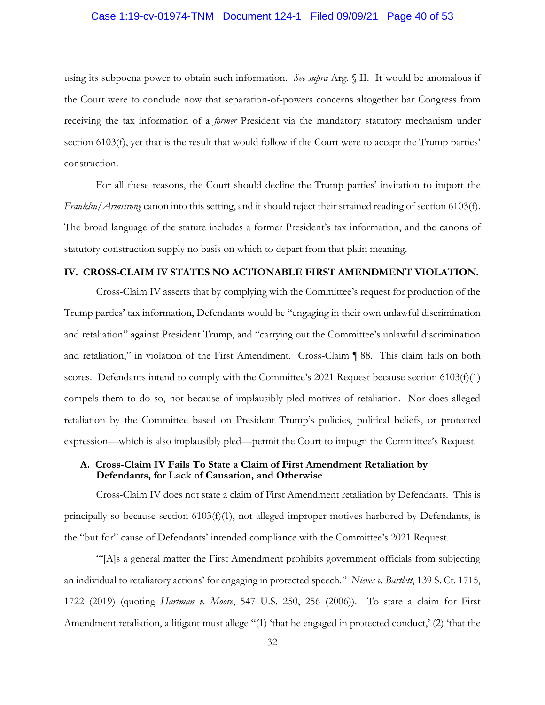#### <span id="page-39-0"></span>Case 1:19-cv-01974-TNM Document 124-1 Filed 09/09/21 Page 40 of 53

 using its subpoena power to obtain such information. *See supra* Arg. § II. It would be anomalous if the Court were to conclude now that separation-of-powers concerns altogether bar Congress from receiving the tax information of a *former* President via the mandatory statutory mechanism under section 6103(f), yet that is the result that would follow if the Court were to accept the Trump parties' construction.

 For all these reasons, the Court should decline the Trump parties' invitation to import the *Franklin*/*Armstrong* canon into this setting, and it should reject their strained reading of section 6103(f). The broad language of the statute includes a former President's tax information, and the canons of statutory construction supply no basis on which to depart from that plain meaning.

#### **IV. CROSS-CLAIM IV STATES NO ACTIONABLE FIRST AMENDMENT VIOLATION.**

 Cross-Claim IV asserts that by complying with the Committee's request for production of the and retaliation" against President Trump, and "carrying out the Committee's unlawful discrimination and retaliation," in violation of the First Amendment. Cross-Claim ¶ 88. This claim fails on both scores. Defendants intend to comply with the Committee's 2021 Request because section 6103(f)(1) compels them to do so, not because of implausibly pled motives of retaliation. Nor does alleged Trump parties' tax information, Defendants would be "engaging in their own unlawful discrimination retaliation by the Committee based on President Trump's policies, political beliefs, or protected expression—which is also implausibly pled—permit the Court to impugn the Committee's Request.

## **A. Cross-Claim IV Fails To State a Claim of First Amendment Retaliation by Defendants, for Lack of Causation, and Otherwise**

 Cross-Claim IV does not state a claim of First Amendment retaliation by Defendants. This is principally so because section  $6103(f)(1)$ , not alleged improper motives harbored by Defendants, is the "but for" cause of Defendants' intended compliance with the Committee's 2021 Request.

 "'[A]s a general matter the First Amendment prohibits government officials from subjecting an individual to retaliatory actions' for engaging in protected speech." *Nieves v. Bartlett*, 139 S. Ct. 1715, 1722 (2019) (quoting *Hartman v. Moore*, 547 U.S. 250, 256 (2006)). To state a claim for First Amendment retaliation, a litigant must allege "(1) 'that he engaged in protected conduct,' (2) 'that the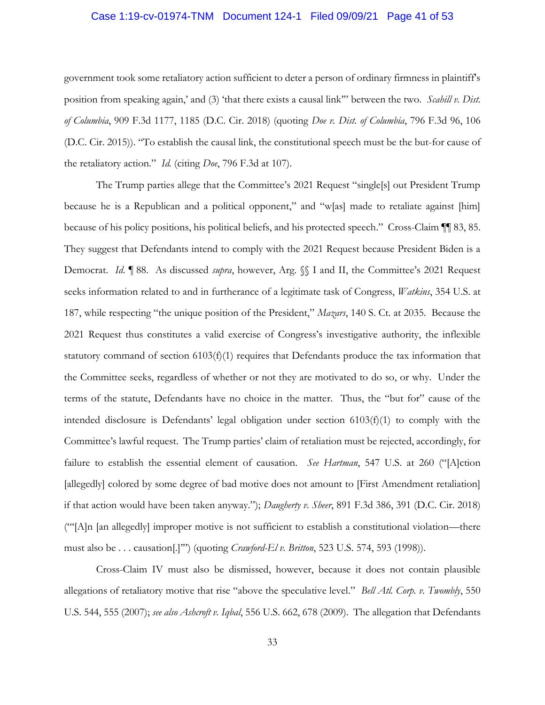### <span id="page-40-0"></span>Case 1:19-cv-01974-TNM Document 124-1 Filed 09/09/21 Page 41 of 53

 government took some retaliatory action sufficient to deter a person of ordinary firmness in plaintiff's position from speaking again,' and (3) 'that there exists a causal link'" between the two. *Scahill v. Dist. of Columbia*, 909 F.3d 1177, 1185 (D.C. Cir. 2018) (quoting *Doe v. Dist. of Columbia*, 796 F.3d 96, 106 (D.C. Cir. 2015)). "To establish the causal link, the constitutional speech must be the but-for cause of the retaliatory action." *Id.* (citing *Doe*, 796 F.3d at 107).

 The Trump parties allege that the Committee's 2021 Request "single[s] out President Trump because he is a Republican and a political opponent," and "w[as] made to retaliate against [him] because of his policy positions, his political beliefs, and his protected speech." Cross-Claim ¶¶ 83, 85. They suggest that Defendants intend to comply with the 2021 Request because President Biden is a Democrat. *Id*. ¶ 88. As discussed *supra*, however, Arg. §§ I and II, the Committee's 2021 Request seeks information related to and in furtherance of a legitimate task of Congress, *Watkins*, 354 U.S. at 187, while respecting "the unique position of the President," *Mazars*, 140 S. Ct. at 2035. Because the 2021 Request thus constitutes a valid exercise of Congress's investigative authority, the inflexible statutory command of section 6103(f)(1) requires that Defendants produce the tax information that the Committee seeks, regardless of whether or not they are motivated to do so, or why. Under the terms of the statute, Defendants have no choice in the matter. Thus, the "but for" cause of the Committee's lawful request. The Trump parties' claim of retaliation must be rejected, accordingly, for [allegedly] colored by some degree of bad motive does not amount to [First Amendment retaliation] ("'[A]n [an allegedly] improper motive is not sufficient to establish a constitutional violation—there intended disclosure is Defendants' legal obligation under section  $6103(f)(1)$  to comply with the failure to establish the essential element of causation. *See Hartman*, 547 U.S. at 260 ("[A]ction if that action would have been taken anyway."); *Daugherty v. Sheer*, 891 F.3d 386, 391 (D.C. Cir. 2018) must also be . . . causation[.]'") (quoting *Crawford-El v. Britton*, 523 U.S. 574, 593 (1998)).

 Cross-Claim IV must also be dismissed, however, because it does not contain plausible allegations of retaliatory motive that rise "above the speculative level." *Bell Atl. Corp. v. Twombly*, 550 U.S. 544, 555 (2007); *see also Ashcroft v. Iqbal*, 556 U.S. 662, 678 (2009). The allegation that Defendants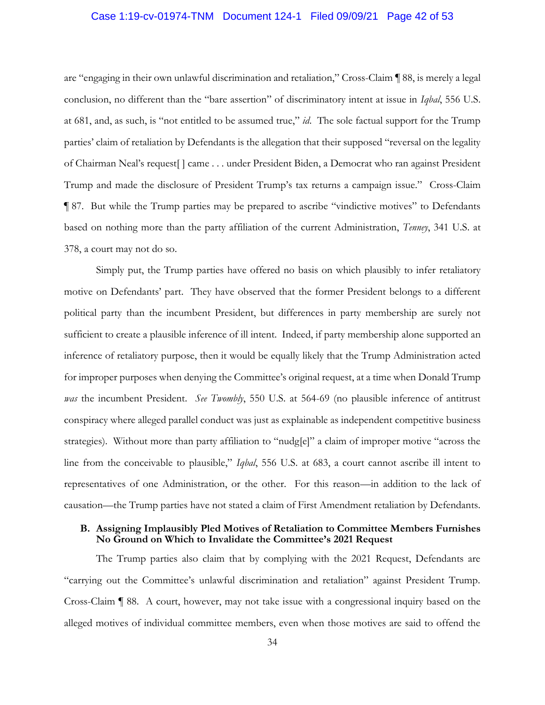#### <span id="page-41-0"></span>Case 1:19-cv-01974-TNM Document 124-1 Filed 09/09/21 Page 42 of 53

 are "engaging in their own unlawful discrimination and retaliation," Cross-Claim ¶ 88, is merely a legal at 681, and, as such, is "not entitled to be assumed true," *id*. The sole factual support for the Trump parties' claim of retaliation by Defendants is the allegation that their supposed "reversal on the legality Trump and made the disclosure of President Trump's tax returns a campaign issue." Cross-Claim ¶ 87. But while the Trump parties may be prepared to ascribe "vindictive motives" to Defendants conclusion, no different than the "bare assertion" of discriminatory intent at issue in *Iqbal*, 556 U.S. of Chairman Neal's request[ ] came . . . under President Biden, a Democrat who ran against President based on nothing more than the party affiliation of the current Administration, *Tenney*, 341 U.S. at 378, a court may not do so.

 Simply put, the Trump parties have offered no basis on which plausibly to infer retaliatory motive on Defendants' part. They have observed that the former President belongs to a different sufficient to create a plausible inference of ill intent. Indeed, if party membership alone supported an for improper purposes when denying the Committee's original request, at a time when Donald Trump conspiracy where alleged parallel conduct was just as explainable as independent competitive business strategies). Without more than party affiliation to "nudg[e]" a claim of improper motive "across the line from the conceivable to plausible," *Iqbal*, 556 U.S. at 683, a court cannot ascribe ill intent to representatives of one Administration, or the other. For this reason—in addition to the lack of causation—the Trump parties have not stated a claim of First Amendment retaliation by Defendants. political party than the incumbent President, but differences in party membership are surely not inference of retaliatory purpose, then it would be equally likely that the Trump Administration acted *was* the incumbent President. *See Twombly*, 550 U.S. at 564-69 (no plausible inference of antitrust

#### **B. Assigning Implausibly Pled Motives of Retaliation to Committee Members Furnishes No Ground on Which to Invalidate the Committee's 2021 Request**

 "carrying out the Committee's unlawful discrimination and retaliation" against President Trump. Cross-Claim ¶ 88. A court, however, may not take issue with a congressional inquiry based on the The Trump parties also claim that by complying with the 2021 Request, Defendants are alleged motives of individual committee members, even when those motives are said to offend the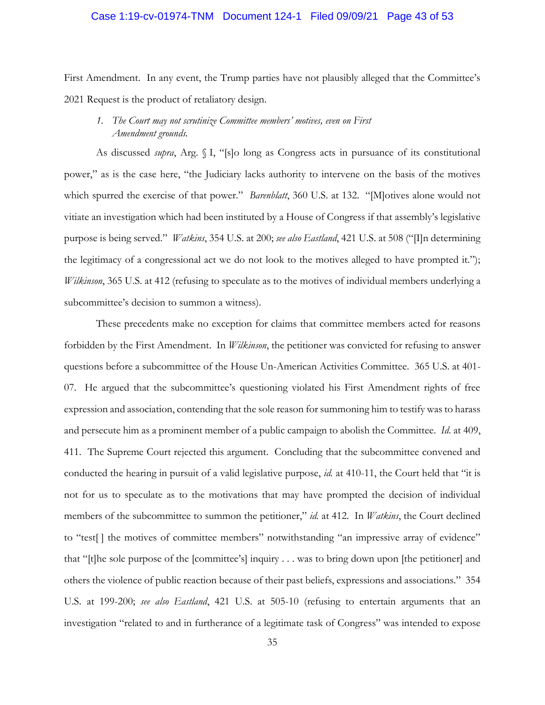#### <span id="page-42-0"></span>Case 1:19-cv-01974-TNM Document 124-1 Filed 09/09/21 Page 43 of 53

 First Amendment. In any event, the Trump parties have not plausibly alleged that the Committee's 2021 Request is the product of retaliatory design.

## *1. The Court may not scrutinize Committee members' motives, even on First Amendment grounds.*

 As discussed *supra*, Arg. § I, "[s]o long as Congress acts in pursuance of its constitutional power," as is the case here, "the Judiciary lacks authority to intervene on the basis of the motives which spurred the exercise of that power." *Barenblatt*, 360 U.S. at 132. "[M]otives alone would not vitiate an investigation which had been instituted by a House of Congress if that assembly's legislative purpose is being served." *Watkins*, 354 U.S. at 200; *see also Eastland*, 421 U.S. at 508 ("[I]n determining the legitimacy of a congressional act we do not look to the motives alleged to have prompted it."); *Wilkinson*, 365 U.S. at 412 (refusing to speculate as to the motives of individual members underlying a subcommittee's decision to summon a witness).

 These precedents make no exception for claims that committee members acted for reasons forbidden by the First Amendment. In *Wilkinson*, the petitioner was convicted for refusing to answer 07. He argued that the subcommittee's questioning violated his First Amendment rights of free expression and association, contending that the sole reason for summoning him to testify was to harass and persecute him as a prominent member of a public campaign to abolish the Committee. *Id*. at 409, 411. The Supreme Court rejected this argument. Concluding that the subcommittee convened and not for us to speculate as to the motivations that may have prompted the decision of individual members of the subcommittee to summon the petitioner," *id.* at 412. In *Watkins*, the Court declined that "[t]he sole purpose of the [committee's] inquiry . . . was to bring down upon [the petitioner] and others the violence of public reaction because of their past beliefs, expressions and associations." 354 U.S. at 199-200; *see also Eastland*, 421 U.S. at 505-10 (refusing to entertain arguments that an investigation "related to and in furtherance of a legitimate task of Congress" was intended to expose questions before a subcommittee of the House Un-American Activities Committee. 365 U.S. at 401 conducted the hearing in pursuit of a valid legislative purpose, *id.* at 410-11, the Court held that "it is to "test[ ] the motives of committee members" notwithstanding "an impressive array of evidence"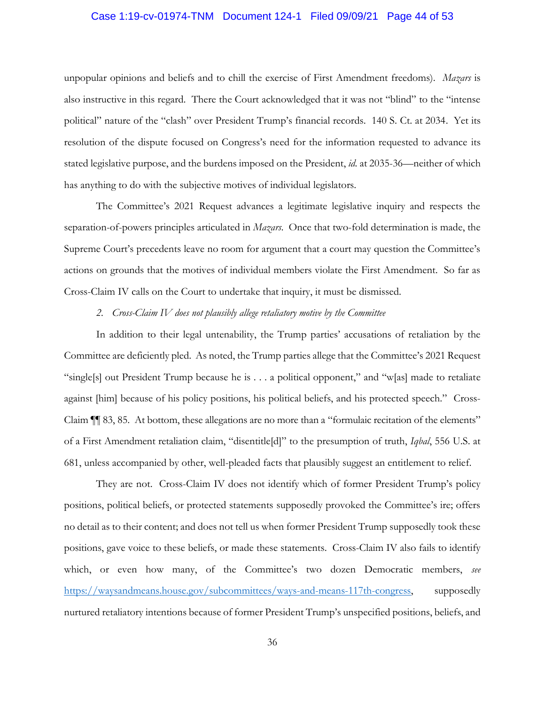#### <span id="page-43-0"></span>Case 1:19-cv-01974-TNM Document 124-1 Filed 09/09/21 Page 44 of 53

 unpopular opinions and beliefs and to chill the exercise of First Amendment freedoms). *Mazars* is also instructive in this regard. There the Court acknowledged that it was not "blind" to the "intense resolution of the dispute focused on Congress's need for the information requested to advance its stated legislative purpose, and the burdens imposed on the President, *id.* at 2035-36—neither of which political" nature of the "clash" over President Trump's financial records. 140 S. Ct. at 2034. Yet its has anything to do with the subjective motives of individual legislators.

 The Committee's 2021 Request advances a legitimate legislative inquiry and respects the separation-of-powers principles articulated in *Mazars*. Once that two-fold determination is made, the Supreme Court's precedents leave no room for argument that a court may question the Committee's actions on grounds that the motives of individual members violate the First Amendment. So far as Cross-Claim IV calls on the Court to undertake that inquiry, it must be dismissed.

#### *2. Cross-Claim IV does not plausibly allege retaliatory motive by the Committee*

 Committee are deficiently pled. As noted, the Trump parties allege that the Committee's 2021 Request "single[s] out President Trump because he is . . . a political opponent," and "w[as] made to retaliate Claim ¶¶ 83, 85. At bottom, these allegations are no more than a "formulaic recitation of the elements" of a First Amendment retaliation claim, "disentitle[d]" to the presumption of truth, *Iqbal*, 556 U.S. at In addition to their legal untenability, the Trump parties' accusations of retaliation by the against [him] because of his policy positions, his political beliefs, and his protected speech." Cross-681, unless accompanied by other, well-pleaded facts that plausibly suggest an entitlement to relief.

 They are not. Cross-Claim IV does not identify which of former President Trump's policy positions, political beliefs, or protected statements supposedly provoked the Committee's ire; offers positions, gave voice to these beliefs, or made these statements. Cross-Claim IV also fails to identify no detail as to their content; and does not tell us when former President Trump supposedly took these which, or even how many, of the Committee's two dozen Democratic members, *see*  [https://waysandmeans.house.gov/subcommittees/ways-and-means-117th-congress,](https://waysandmeans.house.gov/subcommittees/ways-and-means-117th-congress) supposedly nurtured retaliatory intentions because of former President Trump's unspecified positions, beliefs, and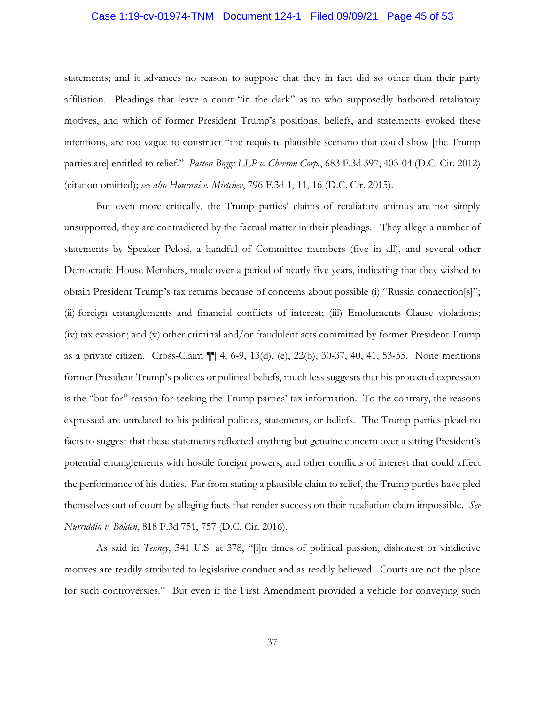### <span id="page-44-0"></span>Case 1:19-cv-01974-TNM Document 124-1 Filed 09/09/21 Page 45 of 53

 affiliation. Pleadings that leave a court "in the dark" as to who supposedly harbored retaliatory motives, and which of former President Trump's positions, beliefs, and statements evoked these intentions, are too vague to construct "the requisite plausible scenario that could show [the Trump parties are] entitled to relief." *Patton Boggs LLP v. Chevron Corp.*, 683 F.3d 397, 403-04 (D.C. Cir. 2012) statements; and it advances no reason to suppose that they in fact did so other than their party (citation omitted); *see also Hourani v. Mirtchev*, 796 F.3d 1, 11, 16 (D.C. Cir. 2015).

 But even more critically, the Trump parties' claims of retaliatory animus are not simply unsupported, they are contradicted by the factual matter in their pleadings. They allege a number of statements by Speaker Pelosi, a handful of Committee members (five in all), and several other Democratic House Members, made over a period of nearly five years, indicating that they wished to obtain President Trump's tax returns because of concerns about possible (i) "Russia connection[s]"; as a private citizen. Cross-Claim ¶¶ 4, 6-9, 13(d), (e), 22(b), 30-37, 40, 41, 53-55. None mentions former President Trump's policies or political beliefs, much less suggests that his protected expression is the "but for" reason for seeking the Trump parties' tax information. To the contrary, the reasons expressed are unrelated to his political policies, statements, or beliefs. The Trump parties plead no facts to suggest that these statements reflected anything but genuine concern over a sitting President's potential entanglements with hostile foreign powers, and other conflicts of interest that could affect the performance of his duties. Far from stating a plausible claim to relief, the Trump parties have pled (ii) foreign entanglements and financial conflicts of interest; (iii) Emoluments Clause violations; (iv) tax evasion; and (v) other criminal and/or fraudulent acts committed by former President Trump themselves out of court by alleging facts that render success on their retaliation claim impossible. *See Nurriddin v. Bolden*, 818 F.3d 751, 757 (D.C. Cir. 2016).

 motives are readily attributed to legislative conduct and as readily believed. Courts are not the place for such controversies." But even if the First Amendment provided a vehicle for conveying such As said in *Tenney*, 341 U.S. at 378, "[i]n times of political passion, dishonest or vindictive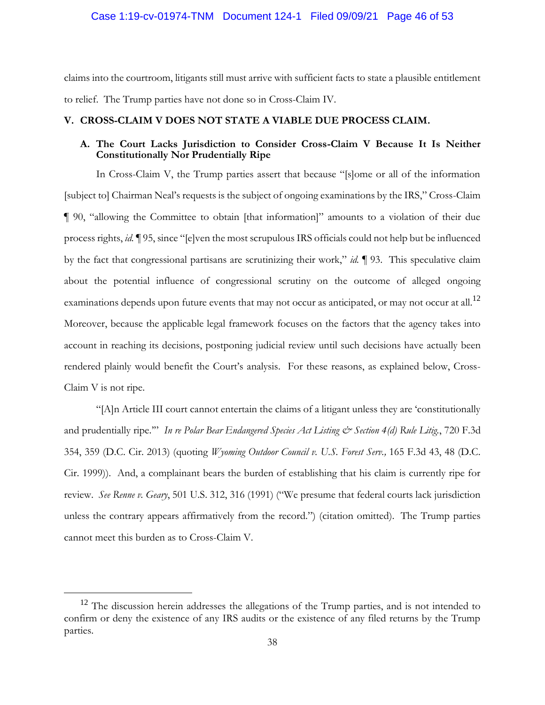#### <span id="page-45-0"></span>Case 1:19-cv-01974-TNM Document 124-1 Filed 09/09/21 Page 46 of 53

 claims into the courtroom, litigants still must arrive with sufficient facts to state a plausible entitlement to relief. The Trump parties have not done so in Cross-Claim IV.

#### **V. CROSS-CLAIM V DOES NOT STATE A VIABLE DUE PROCESS CLAIM.**

### **A. The Court Lacks Jurisdiction to Consider Cross-Claim V Because It Is Neither Constitutionally Nor Prudentially Ripe**

 [subject to] Chairman Neal's requests is the subject of ongoing examinations by the IRS," Cross-Claim ¶ 90, "allowing the Committee to obtain [that information]" amounts to a violation of their due by the fact that congressional partisans are scrutinizing their work," *id.* ¶ 93. This speculative claim examinations depends upon future events that may not occur as anticipated, or may not occur at all.<sup>12</sup> Moreover, because the applicable legal framework focuses on the factors that the agency takes into rendered plainly would benefit the Court's analysis. For these reasons, as explained below, Cross-In Cross-Claim V, the Trump parties assert that because "[s]ome or all of the information process rights, *id.* ¶ 95, since "[e]ven the most scrupulous IRS officials could not help but be influenced about the potential influence of congressional scrutiny on the outcome of alleged ongoing account in reaching its decisions, postponing judicial review until such decisions have actually been Claim V is not ripe.

 "[A]n Article III court cannot entertain the claims of a litigant unless they are 'constitutionally and prudentially ripe."" In re Polar Bear Endangered Species Act Listing & Section 4(d) Rule Litig., 720 F.3d Cir. 1999)). And, a complainant bears the burden of establishing that his claim is currently ripe for  review. *See Renne v. Geary*, 501 U.S. 312, 316 (1991) ("We presume that federal courts lack jurisdiction unless the contrary appears affirmatively from the record.") (citation omitted). The Trump parties cannot meet this burden as to Cross-Claim V. 354, 359 (D.C. Cir. 2013) (quoting *Wyoming Outdoor Council v. U.S. Forest Serv.,* 165 F.3d 43, 48 (D.C.

 confirm or deny the existence of any IRS audits or the existence of any filed returns by the Trump <sup>12</sup> The discussion herein addresses the allegations of the Trump parties, and is not intended to parties.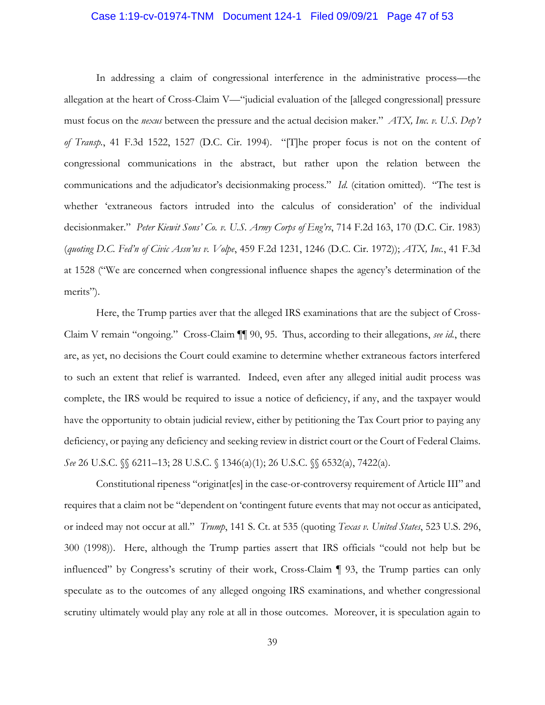#### <span id="page-46-0"></span>Case 1:19-cv-01974-TNM Document 124-1 Filed 09/09/21 Page 47 of 53

 In addressing a claim of congressional interference in the administrative process—the allegation at the heart of Cross-Claim V—"judicial evaluation of the [alleged congressional] pressure must focus on the *nexus* between the pressure and the actual decision maker." *ATX, Inc. v. U.S. Dep't of Transp.*, 41 F.3d 1522, 1527 (D.C. Cir. 1994). "[T]he proper focus is not on the content of communications and the adjudicator's decisionmaking process." *Id.* (citation omitted). "The test is whether 'extraneous factors intruded into the calculus of consideration' of the individual at 1528 ("We are concerned when congressional influence shapes the agency's determination of the congressional communications in the abstract, but rather upon the relation between the decisionmaker." *Peter Kiewit Sons' Co. v. U.S. Army Corps of Eng'rs*, 714 F.2d 163, 170 (D.C. Cir. 1983) (*quoting D.C. Fed'n of Civic Assn'ns v. Volpe*, 459 F.2d 1231, 1246 (D.C. Cir. 1972)); *ATX, Inc.*, 41 F.3d merits").

 Claim V remain "ongoing." Cross-Claim ¶¶ 90, 95. Thus, according to their allegations, *see id.*, there are, as yet, no decisions the Court could examine to determine whether extraneous factors interfered to such an extent that relief is warranted. Indeed, even after any alleged initial audit process was complete, the IRS would be required to issue a notice of deficiency, if any, and the taxpayer would have the opportunity to obtain judicial review, either by petitioning the Tax Court prior to paying any deficiency, or paying any deficiency and seeking review in district court or the Court of Federal Claims. Here, the Trump parties aver that the alleged IRS examinations that are the subject of Cross-*See* 26 U.S.C. *§§* 6211–13; 28 U.S.C. *§* 1346(a)(1); 26 U.S.C. *§§* 6532(a), 7422(a).

 Constitutional ripeness "originat[es] in the case-or-controversy requirement of Article III" and requires that a claim not be "dependent on 'contingent future events that may not occur as anticipated, or indeed may not occur at all." *Trump*, 141 S. Ct. at 535 (quoting *Texas v. United States*, 523 U.S. 296, 300 (1998)). Here, although the Trump parties assert that IRS officials "could not help but be influenced" by Congress's scrutiny of their work, Cross-Claim ¶ 93, the Trump parties can only scrutiny ultimately would play any role at all in those outcomes. Moreover, it is speculation again to speculate as to the outcomes of any alleged ongoing IRS examinations, and whether congressional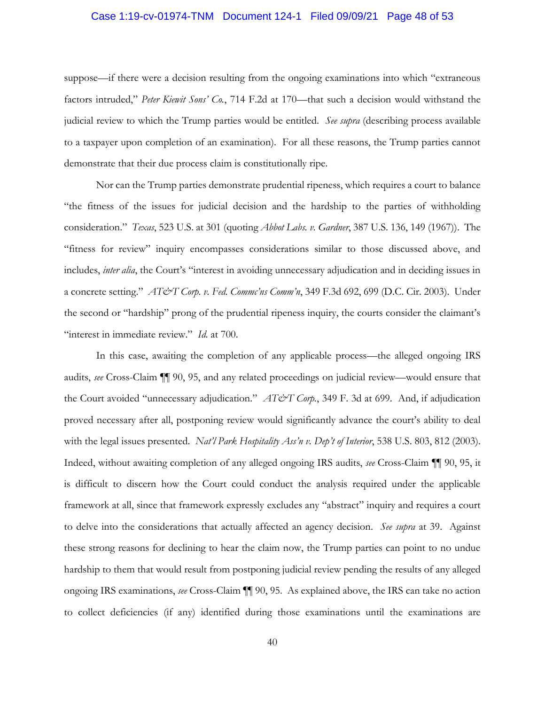#### <span id="page-47-0"></span>Case 1:19-cv-01974-TNM Document 124-1 Filed 09/09/21 Page 48 of 53

 factors intruded," *Peter Kiewit Sons' Co.*, 714 F.2d at 170—that such a decision would withstand the judicial review to which the Trump parties would be entitled. *See supra* (describing process available suppose—if there were a decision resulting from the ongoing examinations into which "extraneous to a taxpayer upon completion of an examination). For all these reasons, the Trump parties cannot demonstrate that their due process claim is constitutionally ripe.

 Nor can the Trump parties demonstrate prudential ripeness, which requires a court to balance consideration." *Texas*, 523 U.S. at 301 (quoting *Abbot Labs. v. Gardner*, 387 U.S. 136, 149 (1967)). The  a concrete setting." *AT&T Corp. v. Fed. Commc'ns Comm'n*, 349 F.3d 692, 699 (D.C. Cir. 2003). Under the second or "hardship" prong of the prudential ripeness inquiry, the courts consider the claimant's "interest in immediate review." *Id.* at 700. "the fitness of the issues for judicial decision and the hardship to the parties of withholding "fitness for review" inquiry encompasses considerations similar to those discussed above, and includes, *inter alia*, the Court's "interest in avoiding unnecessary adjudication and in deciding issues in

 In this case, awaiting the completion of any applicable process—the alleged ongoing IRS with the legal issues presented. *Nat'l Park Hospitality Ass'n v. Dep't of Interior*, 538 U.S. 803, 812 (2003).<br>Indeed, without awaiting completion of any alleged ongoing IRS audits, *see* Cross-Claim ¶¶ 90, 95, it is difficult to discern how the Court could conduct the analysis required under the applicable framework at all, since that framework expressly excludes any "abstract" inquiry and requires a court to delve into the considerations that actually affected an agency decision. *See supra* at 39. Against these strong reasons for declining to hear the claim now, the Trump parties can point to no undue ongoing IRS examinations, *see* Cross-Claim ¶¶ 90, 95. As explained above, the IRS can take no action to collect deficiencies (if any) identified during those examinations until the examinations are audits, *see* Cross-Claim ¶¶ 90, 95, and any related proceedings on judicial review—would ensure that the Court avoided "unnecessary adjudication." *AT&T Corp.*, 349 F. 3d at 699. And, if adjudication proved necessary after all, postponing review would significantly advance the court's ability to deal hardship to them that would result from postponing judicial review pending the results of any alleged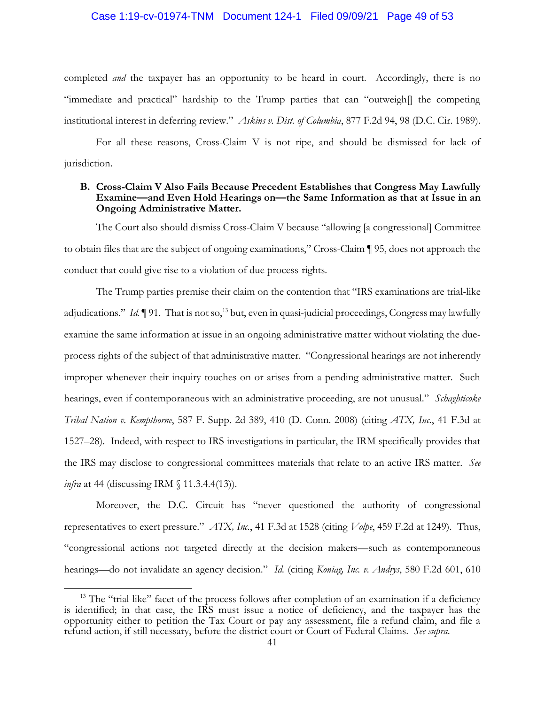#### <span id="page-48-0"></span>Case 1:19-cv-01974-TNM Document 124-1 Filed 09/09/21 Page 49 of 53

 completed *and* the taxpayer has an opportunity to be heard in court. Accordingly, there is no "immediate and practical" hardship to the Trump parties that can "outweigh[] the competing institutional interest in deferring review." *Askins v. Dist. of Columbia*, 877 F.2d 94, 98 (D.C. Cir. 1989).

 For all these reasons, Cross-Claim V is not ripe, and should be dismissed for lack of jurisdiction.

#### **B. Cross-Claim V Also Fails Because Precedent Establishes that Congress May Lawfully Examine—and Even Hold Hearings on—the Same Information as that at Issue in an Ongoing Administrative Matter.**

 The Court also should dismiss Cross-Claim V because "allowing [a congressional] Committee to obtain files that are the subject of ongoing examinations," Cross-Claim ¶ 95, does not approach the conduct that could give rise to a violation of due process-rights.

adjudications." *Id.* 191. That is not so,<sup>13</sup> but, even in quasi-judicial proceedings, Congress may lawfully process rights of the subject of that administrative matter. "Congressional hearings are not inherently improper whenever their inquiry touches on or arises from a pending administrative matter. Such hearings, even if contemporaneous with an administrative proceeding, are not unusual." *Schaghticoke Tribal Nation v. Kempthorne*, 587 F. Supp. 2d 389, 410 (D. Conn. 2008) (citing *ATX, Inc.*, 41 F.3d at 1527–28). Indeed, with respect to IRS investigations in particular, the IRM specifically provides that the IRS may disclose to congressional committees materials that relate to an active IRS matter. *See infra* at 44 (discussing IRM § 11.3.4.4(13)). The Trump parties premise their claim on the contention that "IRS examinations are trial-like examine the same information at issue in an ongoing administrative matter without violating the due-

 hearings—do not invalidate an agency decision." *Id.* (citing *Koniag, Inc. v. Andrys*, 580 F.2d 601, 610 Moreover, the D.C. Circuit has "never questioned the authority of congressional representatives to exert pressure." *ATX, Inc.*, 41 F.3d at 1528 (citing *Volpe*, 459 F.2d at 1249). Thus, "congressional actions not targeted directly at the decision makers—such as contemporaneous

<sup>&</sup>lt;sup>13</sup> The "trial-like" facet of the process follows after completion of an examination if a deficiency is identified; in that case, the IRS must issue a notice of deficiency, and the taxpayer has the opportunity either to petition the Tax Court or pay any assessment, file a refund claim, and file a refund action, if still necessary, before the district court or Court of Federal Claims. *See supra*.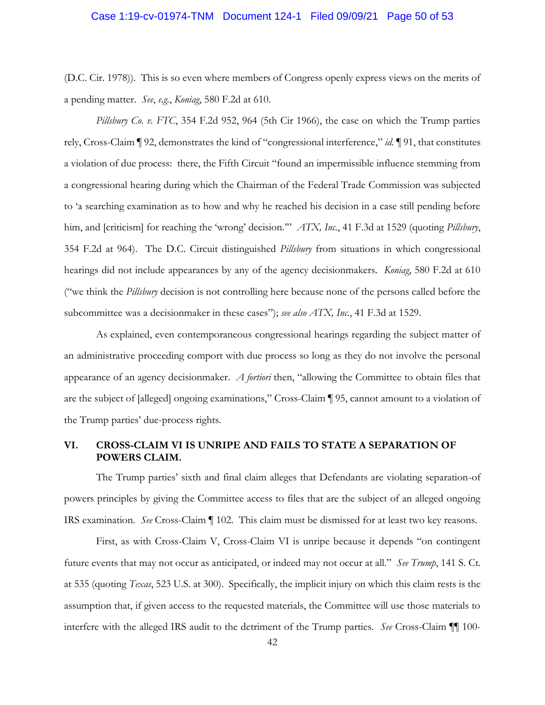#### <span id="page-49-0"></span>Case 1:19-cv-01974-TNM Document 124-1 Filed 09/09/21 Page 50 of 53

 (D.C. Cir. 1978)). This is so even where members of Congress openly express views on the merits of a pending matter. *See*, *e.g.*, *Koniag*, 580 F.2d at 610.

 a violation of due process: there, the Fifth Circuit "found an impermissible influence stemming from a congressional hearing during which the Chairman of the Federal Trade Commission was subjected to 'a searching examination as to how and why he reached his decision in a case still pending before him, and [criticism] for reaching the 'wrong' decision.'" *ATX, Inc.*, 41 F.3d at 1529 (quoting *Pillsbury*, 354 F.2d at 964). The D.C. Circuit distinguished *Pillsbury* from situations in which congressional subcommittee was a decisionmaker in these cases"); see also ATX, Inc., 41 F.3d at 1529. *Pillsbury Co. v. FTC*, 354 F.2d 952, 964 (5th Cir 1966), the case on which the Trump parties rely, Cross-Claim ¶ 92, demonstrates the kind of "congressional interference," *id.* ¶ 91, that constitutes hearings did not include appearances by any of the agency decisionmakers. *Koniag*, 580 F.2d at 610 ("we think the *Pillsbury* decision is not controlling here because none of the persons called before the

 an administrative proceeding comport with due process so long as they do not involve the personal appearance of an agency decisionmaker. *A fortiori* then, "allowing the Committee to obtain files that are the subject of [alleged] ongoing examinations," Cross-Claim ¶ 95, cannot amount to a violation of As explained, even contemporaneous congressional hearings regarding the subject matter of the Trump parties' due-process rights.

# **VI. CROSS-CLAIM VI IS UNRIPE AND FAILS TO STATE A SEPARATION OF POWERS CLAIM.**

 powers principles by giving the Committee access to files that are the subject of an alleged ongoing The Trump parties' sixth and final claim alleges that Defendants are violating separation-of IRS examination. *See* Cross-Claim ¶ 102. This claim must be dismissed for at least two key reasons.

 First, as with Cross-Claim V, Cross-Claim VI is unripe because it depends "on contingent future events that may not occur as anticipated, or indeed may not occur at all." *See Trump*, 141 S. Ct. at 535 (quoting *Texas*, 523 U.S. at 300). Specifically, the implicit injury on which this claim rests is the interfere with the alleged IRS audit to the detriment of the Trump parties. *See* Cross-Claim ¶¶ 100 assumption that, if given access to the requested materials, the Committee will use those materials to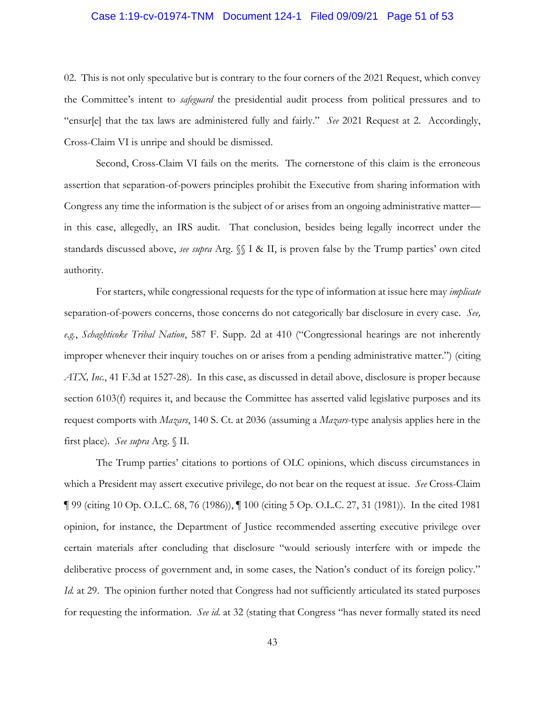### <span id="page-50-0"></span>Case 1:19-cv-01974-TNM Document 124-1 Filed 09/09/21 Page 51 of 53

 02. This is not only speculative but is contrary to the four corners of the 2021 Request, which convey "ensur[e] that the tax laws are administered fully and fairly." *See* 2021 Request at 2. Accordingly, the Committee's intent to *safeguard* the presidential audit process from political pressures and to Cross-Claim VI is unripe and should be dismissed.

 Second, Cross-Claim VI fails on the merits. The cornerstone of this claim is the erroneous assertion that separation-of-powers principles prohibit the Executive from sharing information with Congress any time the information is the subject of or arises from an ongoing administrative matter— in this case, allegedly, an IRS audit. That conclusion, besides being legally incorrect under the standards discussed above, *see supra* Arg. §§ I & II, is proven false by the Trump parties' own cited authority.

 For starters, while congressional requests for the type of information at issue here may *implicate*  separation-of-powers concerns, those concerns do not categorically bar disclosure in every case. *See,*  improper whenever their inquiry touches on or arises from a pending administrative matter.") (citing *ATX, Inc.*, 41 F.3d at 1527-28). In this case, as discussed in detail above, disclosure is proper because section 6103(f) requires it, and because the Committee has asserted valid legislative purposes and its *e.g.*, *Schaghticoke Tribal Nation*, 587 F. Supp. 2d at 410 ("Congressional hearings are not inherently request comports with *Mazars*, 140 S. Ct. at 2036 (assuming a *Mazars*-type analysis applies here in the first place). *See supra* Arg. § II.

 The Trump parties' citations to portions of OLC opinions, which discuss circumstances in ¶ 99 (citing 10 Op. O.L.C. 68, 76 (1986)), ¶ 100 (citing 5 Op. O.L.C. 27, 31 (1981)). In the cited 1981 opinion, for instance, the Department of Justice recommended asserting executive privilege over certain materials after concluding that disclosure "would seriously interfere with or impede the deliberative process of government and, in some cases, the Nation's conduct of its foreign policy." which a President may assert executive privilege, do not bear on the request at issue. *See* Cross-Claim *Id.* at 29. The opinion further noted that Congress had not sufficiently articulated its stated purposes for requesting the information. *See id.* at 32 (stating that Congress "has never formally stated its need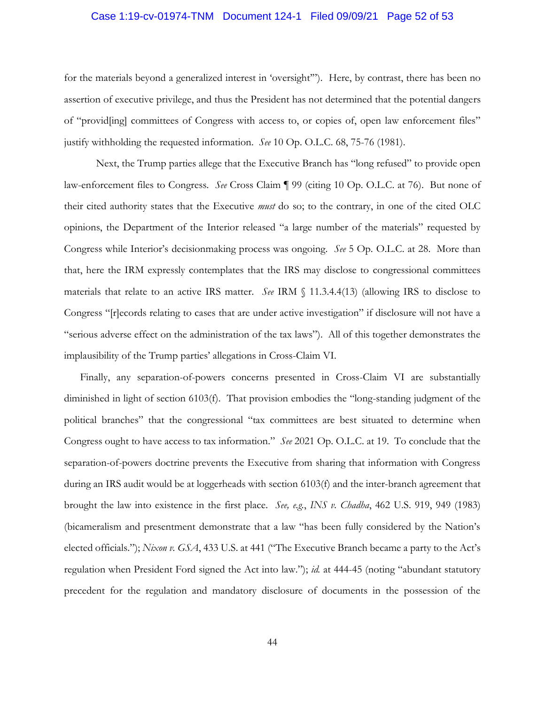#### <span id="page-51-0"></span>Case 1:19-cv-01974-TNM Document 124-1 Filed 09/09/21 Page 52 of 53

 for the materials beyond a generalized interest in 'oversight'"). Here, by contrast, there has been no of "provid[ing] committees of Congress with access to, or copies of, open law enforcement files" assertion of executive privilege, and thus the President has not determined that the potential dangers justify withholding the requested information. *See* 10 Op. O.L.C. 68, 75-76 (1981).

 Next, the Trump parties allege that the Executive Branch has "long refused" to provide open law-enforcement files to Congress. *See* Cross Claim ¶ 99 (citing 10 Op. O.L.C. at 76). But none of opinions, the Department of the Interior released "a large number of the materials" requested by Congress while Interior's decisionmaking process was ongoing. *See* 5 Op. O.L.C. at 28. More than that, here the IRM expressly contemplates that the IRS may disclose to congressional committees Congress "[r]ecords relating to cases that are under active investigation" if disclosure will not have a implausibility of the Trump parties' allegations in Cross-Claim VI. their cited authority states that the Executive *must* do so; to the contrary, in one of the cited OLC materials that relate to an active IRS matter. *See* IRM § 11.3.4.4(13) (allowing IRS to disclose to "serious adverse effect on the administration of the tax laws"). All of this together demonstrates the

 implausibility of the Trump parties' allegations in Cross-Claim VI. Finally, any separation-of-powers concerns presented in Cross-Claim VI are substantially diminished in light of section 6103(f). That provision embodies the "long-standing judgment of the political branches" that the congressional "tax committees are best situated to determine when Congress ought to have access to tax information." *See* 2021 Op. O.L.C. at 19. To conclude that the separation-of-powers doctrine prevents the Executive from sharing that information with Congress brought the law into existence in the first place. *See, e.g.*, *INS v. Chadha*, 462 U.S. 919, 949 (1983) (bicameralism and presentment demonstrate that a law "has been fully considered by the Nation's precedent for the regulation and mandatory disclosure of documents in the possession of the during an IRS audit would be at loggerheads with section 6103(f) and the inter-branch agreement that elected officials."); *Nixon v. GSA*, 433 U.S. at 441 ("The Executive Branch became a party to the Act's regulation when President Ford signed the Act into law."); *id.* at 444-45 (noting "abundant statutory